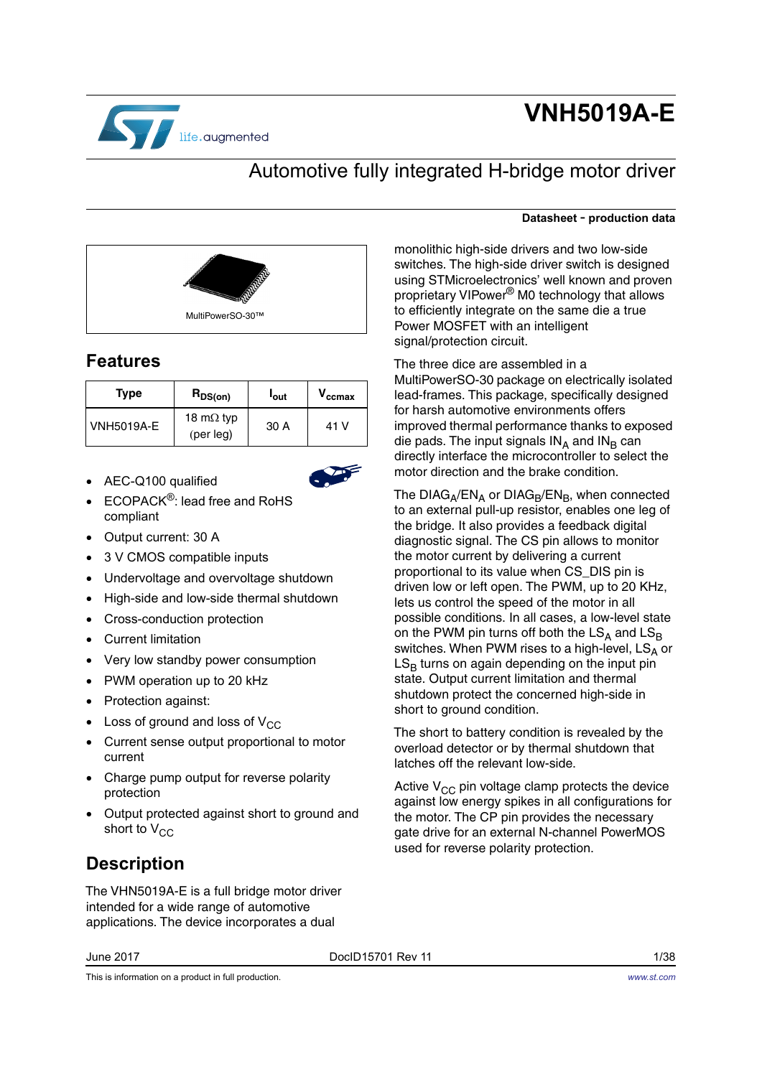

# **VNH5019A-E**

**Datasheet** - **production data**

## Automotive fully integrated H-bridge motor driver

monolithic high-side drivers and two low-side switches. The high-side driver switch is designed using STMicroelectronics' well known and proven proprietary VIPower® M0 technology that allows to efficiently integrate on the same die a true

MultiPowerSO-30 package on electrically isolated lead-frames. This package, specifically designed

improved thermal performance thanks to exposed die pads. The input signals  $IN_A$  and  $IN_B$  can directly interface the microcontroller to select the

The  $DIAG_A/EN_A$  or  $DIAG_B/EN_B$ , when connected to an external pull-up resistor, enables one leg of the bridge. It also provides a feedback digital diagnostic signal. The CS pin allows to monitor the motor current by delivering a current proportional to its value when CS\_DIS pin is driven low or left open. The PWM, up to 20 KHz, lets us control the speed of the motor in all possible conditions. In all cases, a low-level state on the PWM pin turns off both the  $LS_A$  and  $LS_B$ switches. When PWM rises to a high-level,  $LS_A$  or  $LS_B$  turns on again depending on the input pin state. Output current limitation and thermal shutdown protect the concerned high-side in

The short to battery condition is revealed by the overload detector or by thermal shutdown that

Active  $V_{CC}$  pin voltage clamp protects the device against low energy spikes in all configurations for the motor. The CP pin provides the necessary gate drive for an external N-channel PowerMOS

Power MOSFET with an intelligent

The three dice are assembled in a

for harsh automotive environments offers

motor direction and the brake condition.

signal/protection circuit.



## **Features**

| <b>Type</b>       | $R_{DS(on)}$                   | <b>l</b> out | $\boldsymbol{\mathsf{v}}_{\texttt{ccmax}}$ |
|-------------------|--------------------------------|--------------|--------------------------------------------|
| <b>VNH5019A-E</b> | 18 m $\Omega$ typ<br>(per leg) | 30 A         | 41 V                                       |

• AEC-Q100 qualified



- ECOPACK<sup>®</sup>: lead free and RoHS compliant
- Output current: 30 A
- 3 V CMOS compatible inputs
- Undervoltage and overvoltage shutdown
- High-side and low-side thermal shutdown
- Cross-conduction protection
- Current limitation
- Very low standby power consumption
- PWM operation up to 20 kHz
- Protection against:
- Loss of ground and loss of  $V_{CC}$
- Current sense output proportional to motor current
- Charge pump output for reverse polarity protection
- Output protected against short to ground and short to  $V_{CC}$

# **Description**

The VHN5019A-E is a full bridge motor driver intended for a wide range of automotive applications. The device incorporates a dual

June 2017 DocID15701 Rev 11 1/38

This is information on a product in full production.

short to ground condition.

latches off the relevant low-side.

used for reverse polarity protection.

#### *[www.st.com](http://www.st.com)*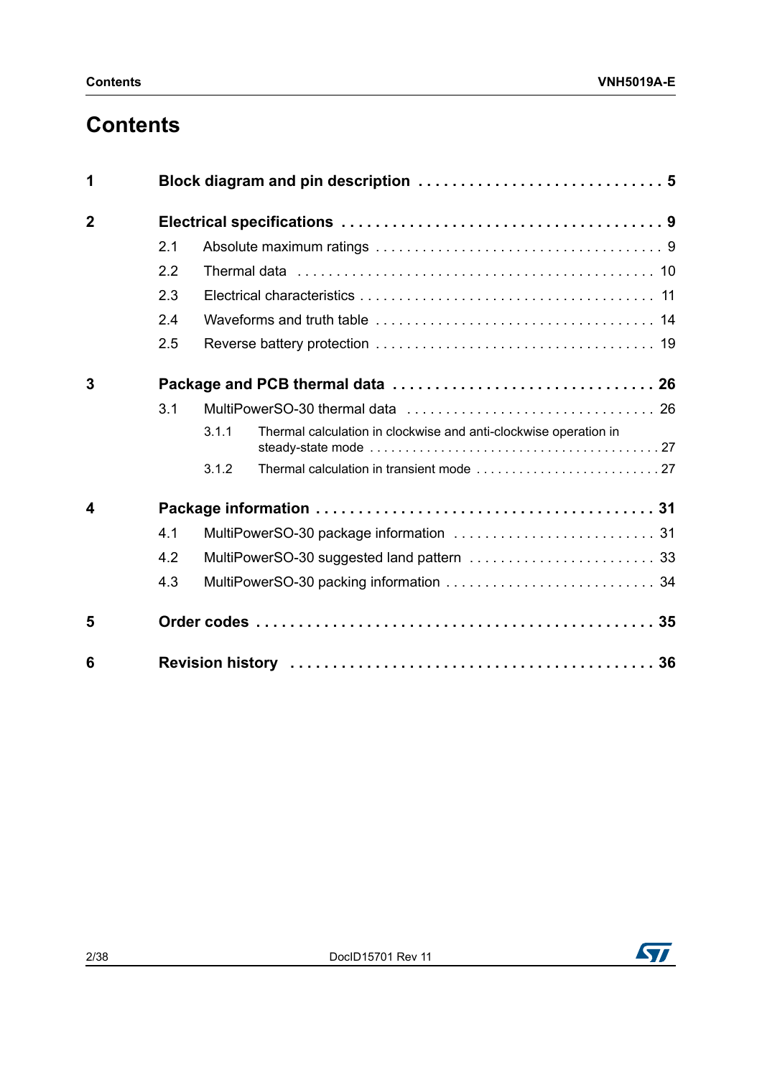# **Contents**

| 1              |     |       |                                                                  |  |
|----------------|-----|-------|------------------------------------------------------------------|--|
| $\overline{2}$ |     |       |                                                                  |  |
|                | 2.1 |       |                                                                  |  |
|                | 2.2 |       |                                                                  |  |
|                | 2.3 |       |                                                                  |  |
|                | 2.4 |       |                                                                  |  |
|                | 2.5 |       |                                                                  |  |
| 3              |     |       |                                                                  |  |
|                | 3.1 |       |                                                                  |  |
|                |     | 3.1.1 | Thermal calculation in clockwise and anti-clockwise operation in |  |
|                |     | 3.1.2 |                                                                  |  |
| 4              |     |       |                                                                  |  |
|                | 4.1 |       |                                                                  |  |
|                | 4.2 |       |                                                                  |  |
|                | 4.3 |       |                                                                  |  |
| 5              |     |       |                                                                  |  |
| 6              |     |       |                                                                  |  |

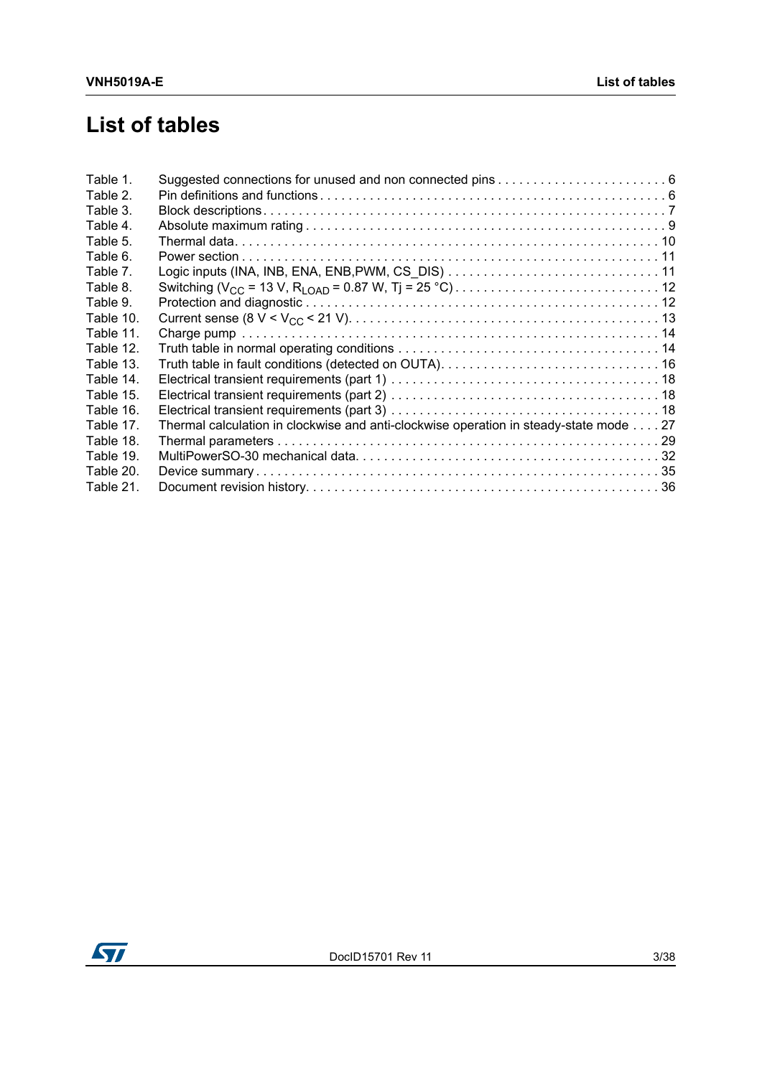# **List of tables**

| Table 1.  |                                                                                       |
|-----------|---------------------------------------------------------------------------------------|
| Table 2.  |                                                                                       |
| Table 3.  |                                                                                       |
| Table 4.  |                                                                                       |
| Table 5.  |                                                                                       |
| Table 6.  |                                                                                       |
| Table 7.  |                                                                                       |
| Table 8.  |                                                                                       |
| Table 9.  |                                                                                       |
| Table 10. |                                                                                       |
| Table 11. |                                                                                       |
| Table 12. |                                                                                       |
| Table 13. |                                                                                       |
| Table 14. |                                                                                       |
| Table 15. |                                                                                       |
| Table 16. |                                                                                       |
| Table 17. | Thermal calculation in clockwise and anti-clockwise operation in steady-state mode 27 |
| Table 18. |                                                                                       |
| Table 19. |                                                                                       |
| Table 20. |                                                                                       |
| Table 21. |                                                                                       |

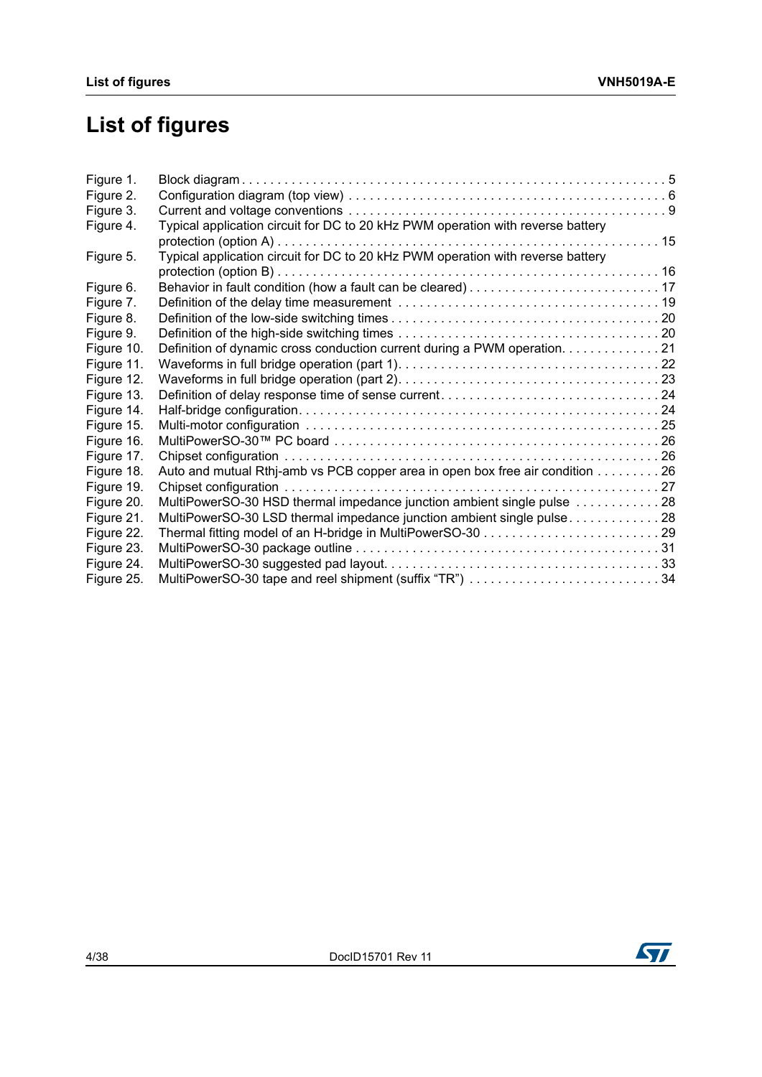# **List of figures**

| Figure 1.  |                                                                                 |  |
|------------|---------------------------------------------------------------------------------|--|
| Figure 2.  |                                                                                 |  |
| Figure 3.  |                                                                                 |  |
| Figure 4.  | Typical application circuit for DC to 20 kHz PWM operation with reverse battery |  |
|            |                                                                                 |  |
| Figure 5.  | Typical application circuit for DC to 20 kHz PWM operation with reverse battery |  |
|            |                                                                                 |  |
| Figure 6.  |                                                                                 |  |
| Figure 7.  |                                                                                 |  |
| Figure 8.  |                                                                                 |  |
| Figure 9.  |                                                                                 |  |
| Figure 10. | Definition of dynamic cross conduction current during a PWM operation. 21       |  |
| Figure 11. |                                                                                 |  |
| Figure 12. |                                                                                 |  |
| Figure 13. |                                                                                 |  |
| Figure 14. |                                                                                 |  |
| Figure 15. |                                                                                 |  |
| Figure 16. |                                                                                 |  |
| Figure 17. |                                                                                 |  |
| Figure 18. | Auto and mutual Rthj-amb vs PCB copper area in open box free air condition 26   |  |
| Figure 19. |                                                                                 |  |
| Figure 20. | MultiPowerSO-30 HSD thermal impedance junction ambient single pulse 28          |  |
| Figure 21. | MultiPowerSO-30 LSD thermal impedance junction ambient single pulse28           |  |
| Figure 22. |                                                                                 |  |
| Figure 23. |                                                                                 |  |
| Figure 24. |                                                                                 |  |
| Figure 25. | MultiPowerSO-30 tape and reel shipment (suffix "TR") 34                         |  |

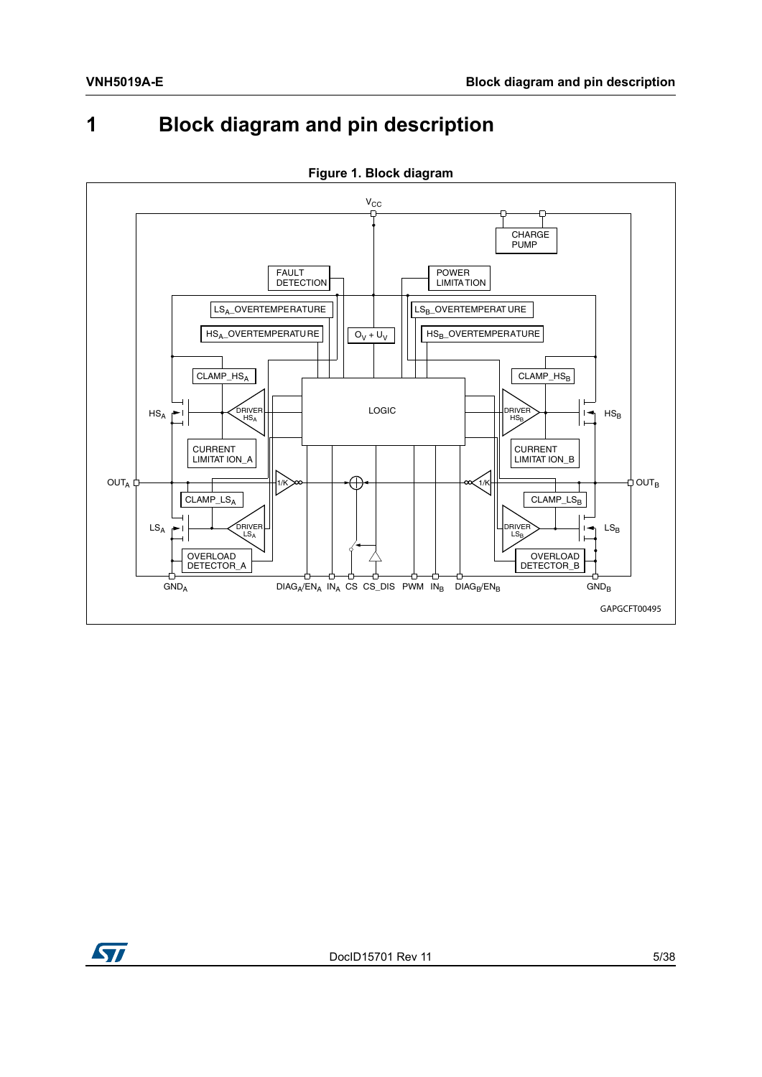# <span id="page-4-0"></span>**1 Block diagram and pin description**

<span id="page-4-1"></span>

**Figure 1. Block diagram**

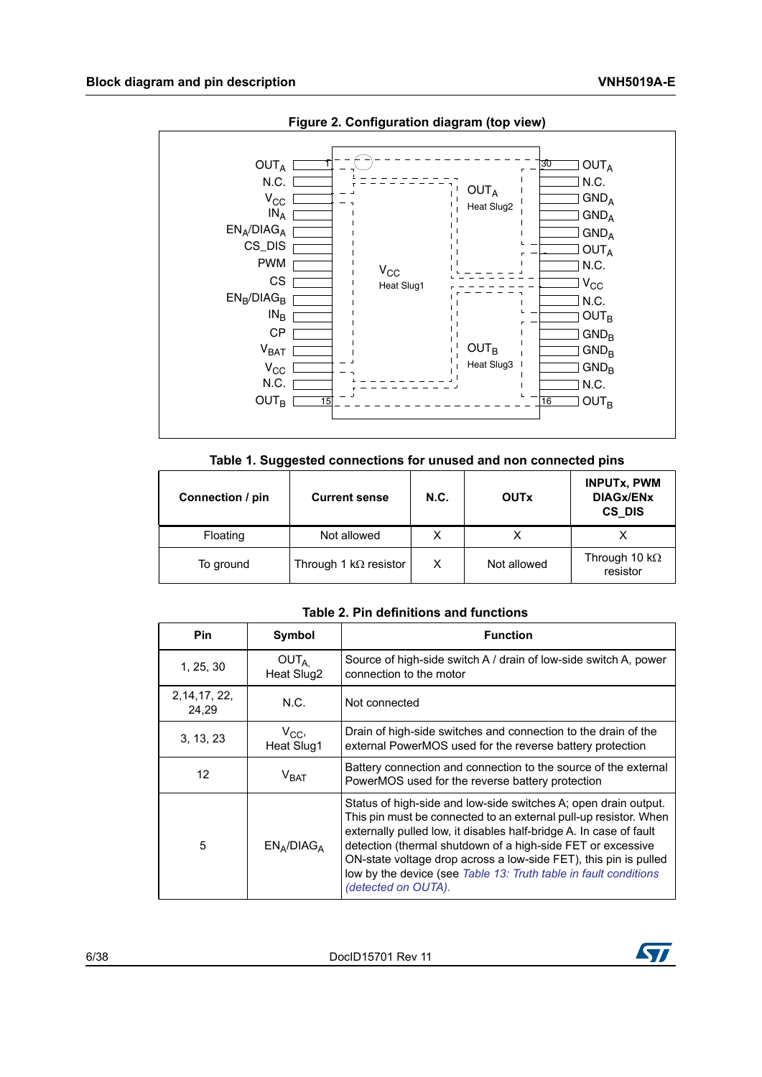<span id="page-5-2"></span>

**Figure 2. Configuration diagram (top view)** 

|  |  |  | Table 1. Suggested connections for unused and non connected pins |
|--|--|--|------------------------------------------------------------------|
|--|--|--|------------------------------------------------------------------|

<span id="page-5-0"></span>

| Connection / pin<br><b>Current sense</b> |                              | <b>N.C.</b> | <b>OUTx</b> | <b>INPUTX, PWM</b><br><b>DIAGX/ENX</b><br>CS DIS |
|------------------------------------------|------------------------------|-------------|-------------|--------------------------------------------------|
| Floating                                 | Not allowed                  | x           |             |                                                  |
| To ground                                | Through 1 $k\Omega$ resistor | X           | Not allowed | Through 10 k $\Omega$<br>resistor                |

**Table 2. Pin definitions and functions** 

<span id="page-5-1"></span>

| Pin                     | Symbol                         | <b>Function</b>                                                                                                                                                                                                                                                                                                                                                                                                                         |
|-------------------------|--------------------------------|-----------------------------------------------------------------------------------------------------------------------------------------------------------------------------------------------------------------------------------------------------------------------------------------------------------------------------------------------------------------------------------------------------------------------------------------|
| 1, 25, 30               | OUT <sub>A</sub><br>Heat Slug2 | Source of high-side switch A / drain of low-side switch A, power<br>connection to the motor                                                                                                                                                                                                                                                                                                                                             |
| 2, 14, 17, 22,<br>24.29 | N.C.                           | Not connected                                                                                                                                                                                                                                                                                                                                                                                                                           |
| 3, 13, 23               | $V_{CC}$<br>Heat Slug1         | Drain of high-side switches and connection to the drain of the<br>external PowerMOS used for the reverse battery protection                                                                                                                                                                                                                                                                                                             |
| 12                      | $V_{\text{BAT}}$               | Battery connection and connection to the source of the external<br>PowerMOS used for the reverse battery protection                                                                                                                                                                                                                                                                                                                     |
| 5                       | $EN_A/DIAG_A$                  | Status of high-side and low-side switches A; open drain output.<br>This pin must be connected to an external pull-up resistor. When<br>externally pulled low, it disables half-bridge A. In case of fault<br>detection (thermal shutdown of a high-side FET or excessive<br>ON-state voltage drop across a low-side FET), this pin is pulled<br>low by the device (see Table 13: Truth table in fault conditions<br>(detected on OUTA). |

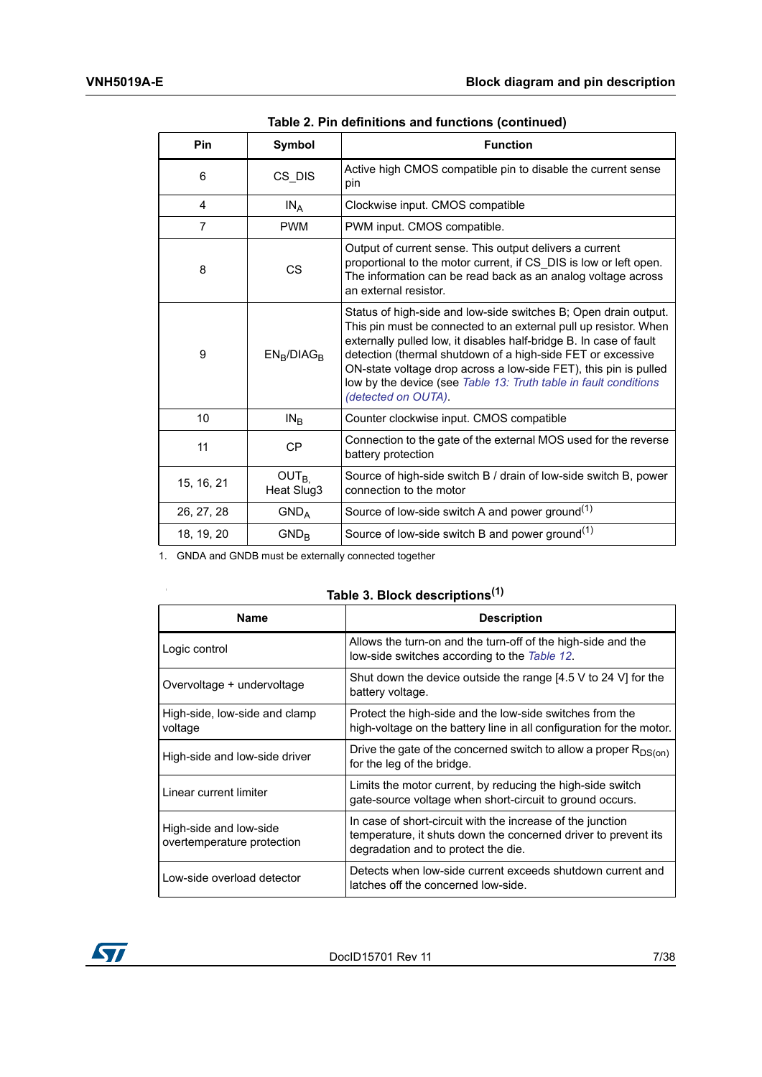| <b>Pin</b>     | Symbol                         | <b>Function</b>                                                                                                                                                                                                                                                                                                                                                                                                                         |
|----------------|--------------------------------|-----------------------------------------------------------------------------------------------------------------------------------------------------------------------------------------------------------------------------------------------------------------------------------------------------------------------------------------------------------------------------------------------------------------------------------------|
|                |                                |                                                                                                                                                                                                                                                                                                                                                                                                                                         |
| 6              | CS_DIS                         | Active high CMOS compatible pin to disable the current sense<br>pin                                                                                                                                                                                                                                                                                                                                                                     |
| 4              | $IN_A$                         | Clockwise input. CMOS compatible                                                                                                                                                                                                                                                                                                                                                                                                        |
| $\overline{7}$ | <b>PWM</b>                     | PWM input. CMOS compatible.                                                                                                                                                                                                                                                                                                                                                                                                             |
| 8              | CS                             | Output of current sense. This output delivers a current<br>proportional to the motor current, if CS DIS is low or left open.<br>The information can be read back as an analog voltage across<br>an external resistor.                                                                                                                                                                                                                   |
| 9              | $EN_B/DIAG_B$                  | Status of high-side and low-side switches B; Open drain output.<br>This pin must be connected to an external pull up resistor. When<br>externally pulled low, it disables half-bridge B. In case of fault<br>detection (thermal shutdown of a high-side FET or excessive<br>ON-state voltage drop across a low-side FET), this pin is pulled<br>low by the device (see Table 13: Truth table in fault conditions<br>(detected on OUTA). |
| 10             | IN <sub>B</sub>                | Counter clockwise input. CMOS compatible                                                                                                                                                                                                                                                                                                                                                                                                |
| 11             | <b>CP</b>                      | Connection to the gate of the external MOS used for the reverse<br>battery protection                                                                                                                                                                                                                                                                                                                                                   |
| 15, 16, 21     | OUT <sub>B</sub><br>Heat Slug3 | Source of high-side switch B / drain of low-side switch B, power<br>connection to the motor                                                                                                                                                                                                                                                                                                                                             |
| 26, 27, 28     | GND <sub>A</sub>               | Source of low-side switch A and power ground $(1)$                                                                                                                                                                                                                                                                                                                                                                                      |
| 18, 19, 20     | $GND_{B}$                      | Source of low-side switch B and power ground $(1)$                                                                                                                                                                                                                                                                                                                                                                                      |

**Table 2. Pin definitions and functions (continued)**

1. GNDA and GNDB must be externally connected together

|  | Table 3. Block descriptions <sup>(1)</sup> |  |
|--|--------------------------------------------|--|
|--|--------------------------------------------|--|

| <b>Name</b>                                          | <b>Description</b>                                                                                                                                                  |
|------------------------------------------------------|---------------------------------------------------------------------------------------------------------------------------------------------------------------------|
| Logic control                                        | Allows the turn-on and the turn-off of the high-side and the<br>low-side switches according to the Table 12.                                                        |
| Overvoltage + undervoltage                           | Shut down the device outside the range $[4.5 \vee 6]$ 24 V for the<br>battery voltage.                                                                              |
| High-side, low-side and clamp<br>voltage             | Protect the high-side and the low-side switches from the<br>high-voltage on the battery line in all configuration for the motor.                                    |
| High-side and low-side driver                        | Drive the gate of the concerned switch to allow a proper $R_{DS(on)}$<br>for the leg of the bridge.                                                                 |
| Linear current limiter                               | Limits the motor current, by reducing the high-side switch<br>gate-source voltage when short-circuit to ground occurs.                                              |
| High-side and low-side<br>overtemperature protection | In case of short-circuit with the increase of the junction<br>temperature, it shuts down the concerned driver to prevent its<br>degradation and to protect the die. |
| Low-side overload detector                           | Detects when low-side current exceeds shutdown current and<br>latches off the concerned low-side.                                                                   |



<span id="page-6-0"></span> $\bar{\phantom{a}}$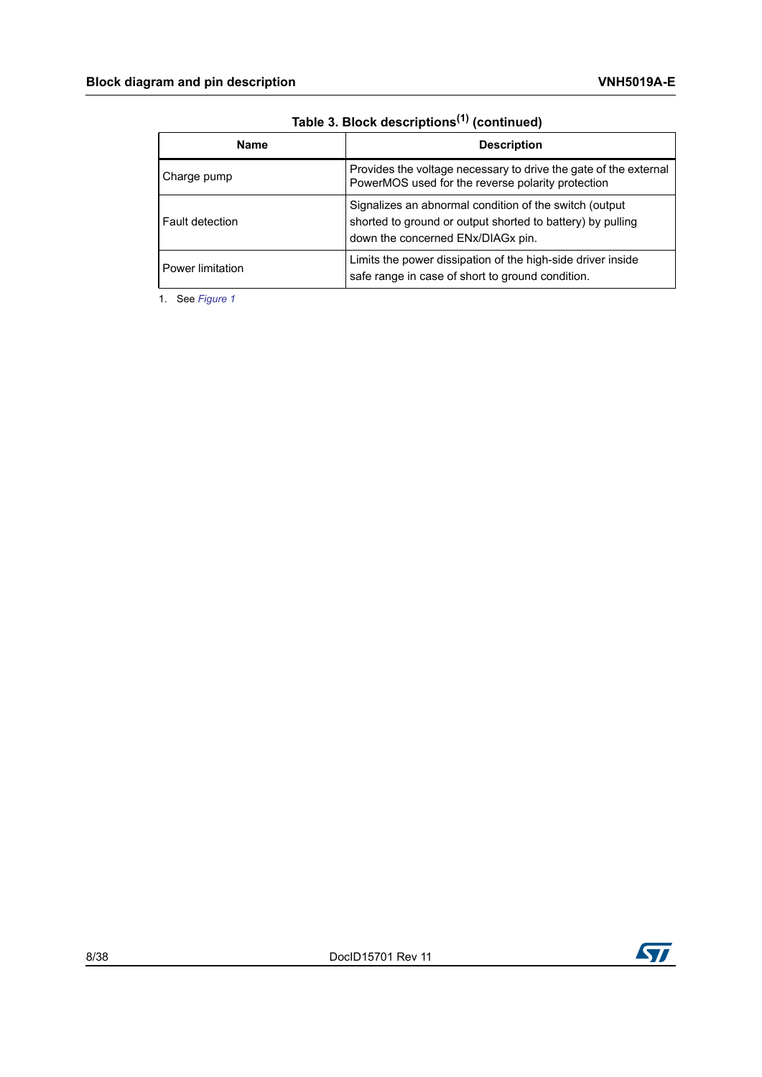| <b>Name</b>      | <b>Description</b>                                                                                                                                        |
|------------------|-----------------------------------------------------------------------------------------------------------------------------------------------------------|
| Charge pump      | Provides the voltage necessary to drive the gate of the external<br>PowerMOS used for the reverse polarity protection                                     |
| Fault detection  | Signalizes an abnormal condition of the switch (output<br>shorted to ground or output shorted to battery) by pulling<br>down the concerned ENx/DIAGx pin. |
| Power limitation | Limits the power dissipation of the high-side driver inside<br>safe range in case of short to ground condition.                                           |

**Table 3. Block descriptions(1) (continued)**

1. See *[Figure 1](#page-4-1)*

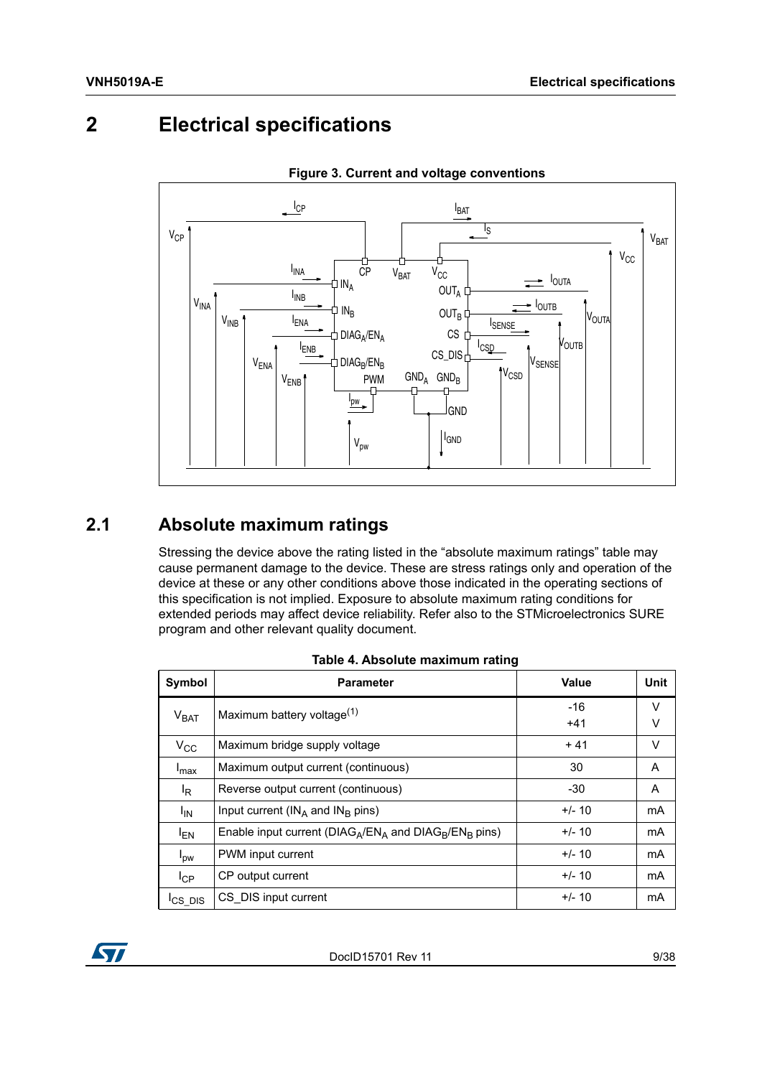# <span id="page-8-0"></span>**2 Electrical specifications**

<span id="page-8-3"></span>

**Figure 3. Current and voltage conventions**

## <span id="page-8-1"></span>**2.1 Absolute maximum ratings**

Stressing the device above the rating listed in the "absolute maximum ratings" table may cause permanent damage to the device. These are stress ratings only and operation of the device at these or any other conditions above those indicated in the operating sections of this specification is not implied. Exposure to absolute maximum rating conditions for extended periods may affect device reliability. Refer also to the STMicroelectronics SURE program and other relevant quality document.

<span id="page-8-2"></span>

| Symbol              | ັ<br><b>Parameter</b>                                        | <b>Value</b>   | Unit   |
|---------------------|--------------------------------------------------------------|----------------|--------|
| V <sub>BAT</sub>    | Maximum battery voltage <sup>(1)</sup>                       | $-16$<br>$+41$ | V<br>v |
| $V_{CC}$            | Maximum bridge supply voltage                                | $+41$          | V      |
| $I_{\text{max}}$    | Maximum output current (continuous)                          | 30             | A      |
| <sup>I</sup> R      | Reverse output current (continuous)                          | $-30$          | A      |
| $I_{IN}$            | Input current ( $IN_A$ and $IN_B$ pins)                      | $+/- 10$       | mA     |
| <sup>I</sup> EN     | Enable input current ( $DIAG_A/EN_A$ and $DIAG_B/EN_B$ pins) | $+/- 10$       | mA     |
| l <sub>pw</sub>     | PWM input current                                            | $+/- 10$       | mA     |
| $I_{\rm CP}$        | CP output current                                            | $+/- 10$       | mA     |
| <sup>I</sup> CS DIS | CS DIS input current                                         | $+/- 10$       | mA     |

| Table 4. Absolute maximum rating |  |
|----------------------------------|--|
|----------------------------------|--|

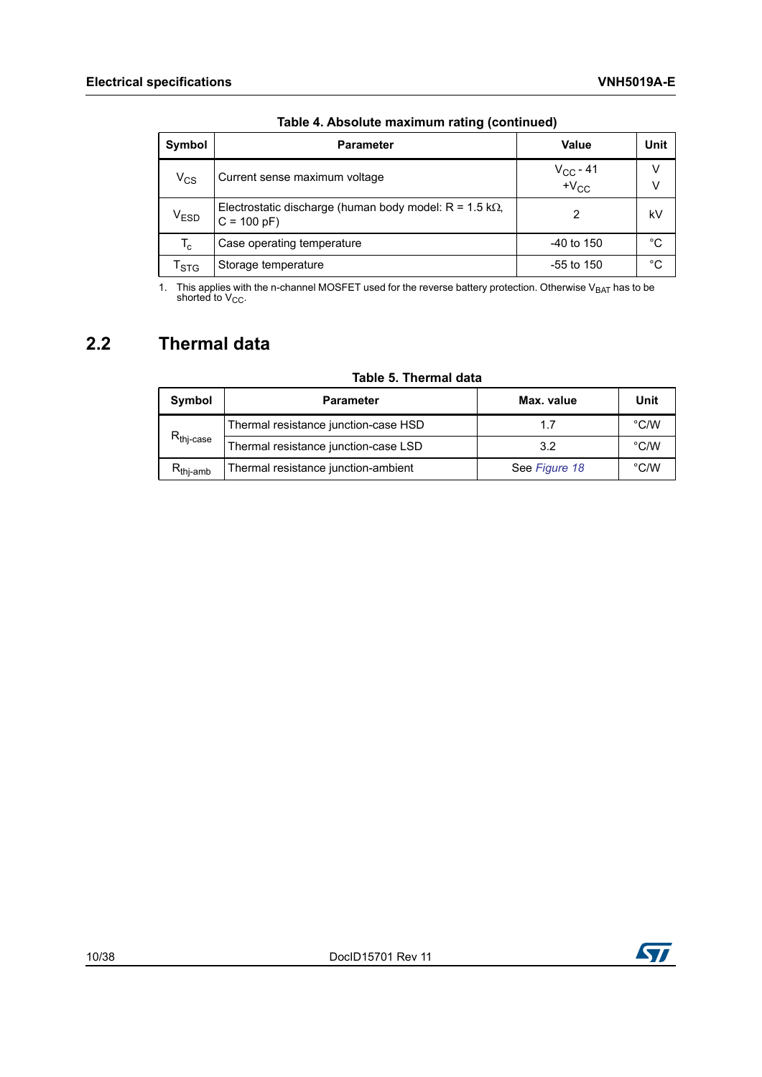| Symbol                      | <b>Parameter</b>                                                               | Value                             | Unit   |
|-----------------------------|--------------------------------------------------------------------------------|-----------------------------------|--------|
| $V_{CS}$                    | Current sense maximum voltage                                                  | $V_{CC}$ - 41<br>$+V_{\text{CC}}$ | v<br>v |
| $\mathsf{V}_{\mathsf{ESD}}$ | Electrostatic discharge (human body model: $R = 1.5 k\Omega$ ,<br>$C = 100 pF$ | 2                                 | kV     |
| $T_c$                       | Case operating temperature                                                     | $-40$ to 150                      | °C     |
| <sup>I</sup> STG            | Storage temperature                                                            | -55 to 150                        | °C     |

|  |  | Table 4. Absolute maximum rating (continued) |
|--|--|----------------------------------------------|
|  |  |                                              |

1. This applies with the n-channel MOSFET used for the reverse battery protection. Otherwise V<sub>BAT</sub> has to be shorted to V<sub>CC</sub>.

## <span id="page-9-0"></span>**2.2 Thermal data**

<span id="page-9-1"></span>

| Symbol                  | <b>Parameter</b>                     | Max. value    | Unit          |
|-------------------------|--------------------------------------|---------------|---------------|
|                         | Thermal resistance junction-case HSD | 17            | $\degree$ C/W |
| $R_{\mathsf{thj-case}}$ | Thermal resistance junction-case LSD | 3.2           | $\degree$ C/W |
| $R_{\text{thi-amb}}$    | Thermal resistance junction-ambient  | See Figure 18 | $\degree$ C/W |

### **Table 5. Thermal data**

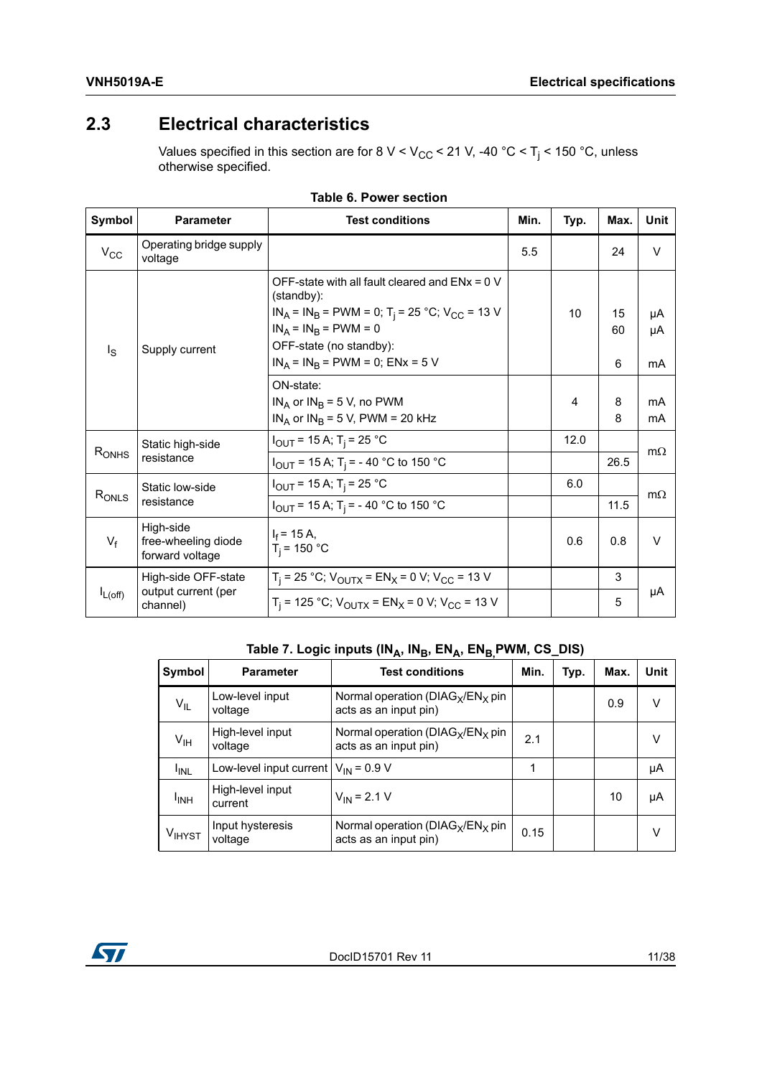## <span id="page-10-0"></span>**2.3 Electrical characteristics**

Values specified in this section are for 8 V < V<sub>CC</sub> < 21 V, -40 °C < T<sub>j</sub> < 150 °C, unless otherwise specified.

<span id="page-10-1"></span>

| Symbol       | <b>Parameter</b>                                    | <b>Test conditions</b>                                                                              | Min. | Typ. | Max.     | Unit      |
|--------------|-----------------------------------------------------|-----------------------------------------------------------------------------------------------------|------|------|----------|-----------|
| $V_{CC}$     | Operating bridge supply<br>voltage                  |                                                                                                     | 5.5  |      | 24       | $\vee$    |
|              |                                                     | OFF-state with all fault cleared and $ENx = 0$ V<br>(standby):                                      |      |      |          |           |
|              |                                                     | $IN_A = IN_B = PWM = 0$ ; T <sub>i</sub> = 25 °C; V <sub>CC</sub> = 13 V<br>$IN_A = IN_B = PWM = 0$ |      | 10   | 15<br>60 | μA        |
| $I_{\rm S}$  | Supply current                                      | OFF-state (no standby):                                                                             |      |      |          | μA        |
|              |                                                     | $IN_A = IN_B = PWM = 0$ ; $ENx = 5 V$                                                               |      |      | 6        | mA        |
|              |                                                     | ON-state:                                                                                           |      |      |          |           |
|              |                                                     | $IN_A$ or $IN_B = 5$ V, no PWM                                                                      |      | 4    | 8        | mA        |
|              |                                                     | $IN_A$ or $IN_B$ = 5 V, PWM = 20 kHz                                                                |      |      | 8        | mA        |
| $R_{ONHS}$   | Static high-side                                    | $I_{\text{OUT}}$ = 15 A; T <sub>i</sub> = 25 °C                                                     |      | 12.0 |          | $m\Omega$ |
|              | resistance                                          | $I_{\text{OUT}}$ = 15 A; T <sub>i</sub> = - 40 °C to 150 °C                                         |      |      | 26.5     |           |
|              | Static low-side                                     | $I_{\text{OUT}}$ = 15 A; T <sub>i</sub> = 25 °C                                                     |      | 6.0  |          | $m\Omega$ |
| $R_{ONLS}$   | resistance                                          | $I_{\text{OUT}}$ = 15 A; T <sub>i</sub> = - 40 °C to 150 °C                                         |      |      | 11.5     |           |
| $V_f$        | High-side<br>free-wheeling diode<br>forward voltage | $I_f$ = 15 A,<br>$T_i$ = 150 °C                                                                     |      | 0.6  | 0.8      | $\vee$    |
|              | High-side OFF-state                                 | $T_i$ = 25 °C; V <sub>OUTX</sub> = EN <sub>X</sub> = 0 V; V <sub>CC</sub> = 13 V                    |      |      | 3        |           |
| $I_{L(off)}$ | output current (per<br>channel)                     | $T_i$ = 125 °C; $V_{\text{OUTX}}$ = EN <sub>X</sub> = 0 V; $V_{\text{CC}}$ = 13 V                   |      |      | 5        | μA        |

#### **Table 6. Power section**

## Table 7. Logic inputs (IN<sub>A</sub>, IN<sub>B</sub>, EN<sub>A</sub>, EN<sub>B,</sub> PWM, CS\_DIS)

<span id="page-10-2"></span>

| Symbol             | <b>Parameter</b>                         | <b>Test conditions</b>                                        | Min. | Typ. | Max. | Unit |
|--------------------|------------------------------------------|---------------------------------------------------------------|------|------|------|------|
| $V_{IL}$           | Low-level input<br>voltage               | Normal operation ( $DIAG_X/EN_X$ pin<br>acts as an input pin) |      |      | 0.9  | v    |
| $V_{\text{IH}}$    | High-level input<br>voltage              | Normal operation ( $DIAG_X/EN_X$ pin<br>acts as an input pin) | 2.1  |      |      | v    |
| <sup>I</sup> INL   | Low-level input current $V_{IN}$ = 0.9 V |                                                               | 1    |      |      | μA   |
| <sup>I</sup> INH   | High-level input<br>current              | $V_{IN}$ = 2.1 V                                              |      |      | 10   | μA   |
| V <sub>IHYST</sub> | Input hysteresis<br>voltage              | Normal operation ( $DIAG_X/EN_X$ pin<br>acts as an input pin) | 0.15 |      |      | v    |

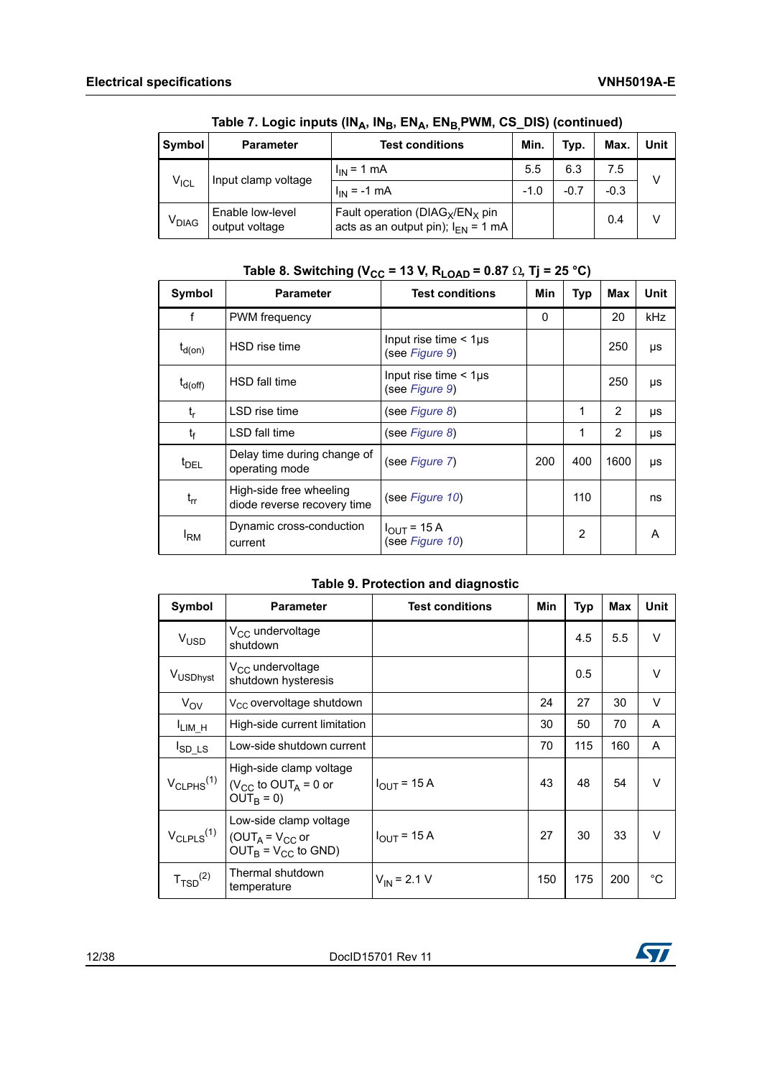| Symbol                           | <b>Parameter</b>                   | <b>Test conditions</b>                                                         | Min.   | Typ.   | Max.   | Unit |
|----------------------------------|------------------------------------|--------------------------------------------------------------------------------|--------|--------|--------|------|
| Input clamp voltage<br>$V_{ICL}$ | $I_{\text{IN}} = 1 \text{ mA}$     | 5.5                                                                            | 6.3    | 7.5    | v      |      |
|                                  |                                    | $I_{IN}$ = -1 mA                                                               | $-1.0$ | $-0.7$ | $-0.3$ |      |
| <b>V<sub>DIAG</sub></b>          | Enable low-level<br>output voltage | Fault operation ( $DIAG_X/EN_X$ pin<br>acts as an output pin); $I_{FN} = 1$ mA |        |        | 0.4    |      |

Table 7. Logic inputs (IN<sub>A</sub>, IN<sub>B</sub>, EN<sub>A</sub>, EN<sub>B,</sub>PWM, CS\_DIS) (continued)

## Table 8. Switching ( $V_{CC}$  = 13 V,  $R_{LOAD}$  = 0.87  $\Omega$ , Tj = 25 °C)

<span id="page-11-0"></span>

| Symbol           | <b>Parameter</b>                                       | <b>Test conditions</b>                          | Min | Typ            | Max  | Unit |
|------------------|--------------------------------------------------------|-------------------------------------------------|-----|----------------|------|------|
| f                | PWM frequency                                          |                                                 | 0   |                | 20   | kHz  |
| $t_{d(0n)}$      | HSD rise time                                          | Input rise time $<$ 1 $\mu$ s<br>(see Figure 9) |     |                | 250  | μs   |
| $t_{d(Off)}$     | HSD fall time                                          | Input rise time $<$ 1 $\mu$ s<br>(see Figure 9) |     |                | 250  | μs   |
| $t_{r}$          | LSD rise time                                          | (see Figure 8)                                  |     | 1              | 2    | μs   |
| $t_f$            | LSD fall time                                          | (see Figure 8)                                  |     | 1              | 2    | μs   |
| $t_{\text{DFL}}$ | Delay time during change of<br>operating mode          | (see Figure 7)                                  | 200 | 400            | 1600 | μs   |
| $t_{rr}$         | High-side free wheeling<br>diode reverse recovery time | (see Figure 10)                                 |     | 110            |      | ns   |
| <sup>I</sup> RM  | Dynamic cross-conduction<br>current                    | $I_{OUT}$ = 15 A<br>(see Figure 10)             |     | $\overline{2}$ |      | A    |

### **Table 9. Protection and diagnostic**

<span id="page-11-1"></span>

| Symbol                     | <b>Parameter</b>                                                                                     | <b>Test conditions</b>  | Min | <b>Typ</b> | <b>Max</b> | Unit   |
|----------------------------|------------------------------------------------------------------------------------------------------|-------------------------|-----|------------|------------|--------|
| <b>V<sub>USD</sub></b>     | V <sub>CC</sub> undervoltage<br>shutdown                                                             |                         |     | 4.5        | 5.5        | $\vee$ |
| V <sub>USDhyst</sub>       | $V_{CC}$ undervoltage<br>shutdown hysteresis                                                         |                         |     | 0.5        |            | $\vee$ |
| $V_{OV}$                   | V <sub>CC</sub> overvoltage shutdown                                                                 |                         | 24  | 27         | 30         | $\vee$ |
| $I_{LIM_H}$                | High-side current limitation                                                                         |                         | 30  | 50         | 70         | A      |
| $I_{SD\_LS}$               | Low-side shutdown current                                                                            |                         | 70  | 115        | 160        | A      |
| $V_{CLPHS}$ <sup>(1)</sup> | High-side clamp voltage<br>$(V_{CC}$ to OUT <sub>A</sub> = 0 or<br>$OUTB = 0)$                       | $I_{\text{OUT}}$ = 15 A | 43  | 48         | 54         | $\vee$ |
| $V_{CLPLS}$ <sup>(1)</sup> | Low-side clamp voltage<br>$\vert$ (OUT <sub>A</sub> = V <sub>CC</sub> or<br>$OUT_B = V_{CC}$ to GND) | $I_{OUT}$ = 15 A        | 27  | 30         | 33         | $\vee$ |
| $T_{\text{TSD}}^{(2)}$     | Thermal shutdown<br>temperature                                                                      | $V_{IN}$ = 2.1 V        | 150 | 175        | 200        | °C     |

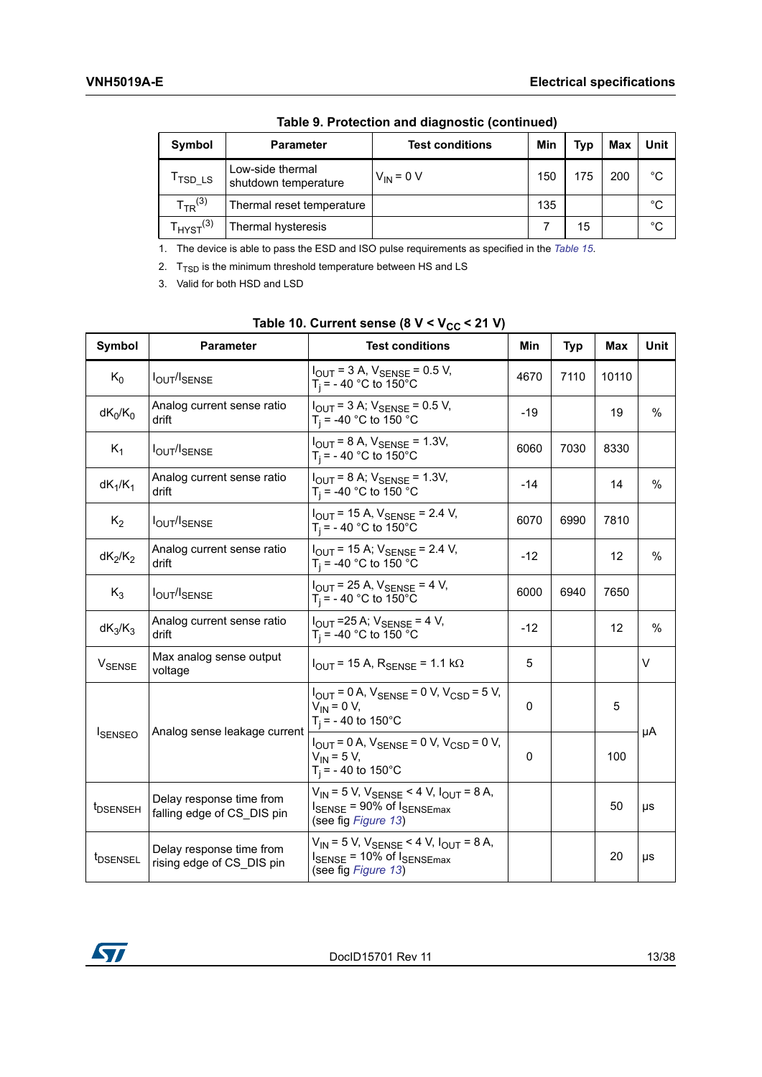| Symbol              | <b>Parameter</b>                         | <b>Test conditions</b> | Min | <b>Typ</b> | Max | <b>Unit</b> |
|---------------------|------------------------------------------|------------------------|-----|------------|-----|-------------|
| <sup>I</sup> TSD_LS | Low-side thermal<br>shutdown temperature | $V_{IN} = 0 V$         | 150 | 175        | 200 | $^{\circ}C$ |
| $T_{TR}^{(3)}$      | Thermal reset temperature                |                        | 135 |            |     | $^{\circ}C$ |
| $HYST^{(3)}$        | Thermal hysteresis                       |                        |     | 15         |     | $^{\circ}C$ |

**Table 9. Protection and diagnostic (continued)**

1. The device is able to pass the ESD and ISO pulse requirements as specified in the *[Table 15](#page-17-1)*.

2.  $T_{\text{TSD}}$  is the minimum threshold temperature between HS and LS

3. Valid for both HSD and LSD

<span id="page-12-0"></span>

| Symbol                   | <b>Parameter</b>                                       | <b>Test conditions</b>                                                                                                          | Min         | <b>Typ</b> | Max               | Unit          |
|--------------------------|--------------------------------------------------------|---------------------------------------------------------------------------------------------------------------------------------|-------------|------------|-------------------|---------------|
| $K_0$                    | <b>IOUT/ISENSE</b>                                     | $I_{\text{OUT}} = 3$ A, $V_{\text{SENSE}} = 0.5$ V,<br>$T_i = -40$ °C to 150°C                                                  | 4670        | 7110       | 10110             |               |
| $dK_0/K_0$               | Analog current sense ratio<br>drift                    | $I_{\text{OUT}} = 3$ A; $V_{\text{SENSE}} = 0.5$ V,<br>$T_i$ = -40 °C to 150 °C                                                 | $-19$       |            | 19                | $\frac{0}{0}$ |
| $K_1$                    | <b>IOUT/ISENSE</b>                                     | $I_{\text{OUT}}$ = 8 A, $V_{\text{SENSE}}$ = 1.3V,<br>$T_i = -40$ °C to 150°C                                                   | 6060        | 7030       | 8330              |               |
| $dK_1/K_1$               | Analog current sense ratio<br>drift                    | $I_{\text{OUT}}$ = 8 A; $V_{\text{SENSE}}$ = 1.3V,<br>$T_i = -40$ °C to 150 °C                                                  | $-14$       |            | 14                | $\%$          |
| $K_2$                    | <b>IOUT/ISENSE</b>                                     | $I_{\text{OUT}}$ = 15 A, $V_{\text{SENSE}}$ = 2.4 V,<br>$T_i = -40$ °C to 150°C                                                 | 6070        | 6990       | 7810              |               |
| $dK_2/K_2$               | Analog current sense ratio<br>drift                    | $I_{\text{OUT}}$ = 15 A; $V_{\text{SENSF}}$ = 2.4 V,<br>$T_i$ = -40 °C to 150 °C                                                | $-12$       |            | $12 \overline{ }$ | $\%$          |
| $K_3$                    | <b>IOUT/ISENSE</b>                                     | $I_{\text{OUT}}$ = 25 A, $V_{\text{SENSE}}$ = 4 V,<br>$T_i = -40$ °C to 150°C                                                   | 6000        | 6940       | 7650              |               |
| $dK_3/K_3$               | Analog current sense ratio<br>drift                    | $I_{\text{OUT}}$ = 25 A; $V_{\text{SENSE}}$ = 4 V,<br>$T_i$ = -40 °C to 150 °C                                                  | $-12$       |            | 12                | %             |
| <b>V<sub>SENSE</sub></b> | Max analog sense output<br>voltage                     | $I_{\text{OUT}}$ = 15 A, $R_{\text{SFNSF}}$ = 1.1 k $\Omega$                                                                    | 5           |            |                   | V             |
|                          | Analog sense leakage current                           | $I_{\text{OUT}} = 0$ A, $V_{\text{SENSE}} = 0$ V, $V_{\text{CSD}} = 5$ V,<br>$V_{IN}$ = 0 V,<br>$T_i = -40$ to 150°C            | 0           |            | 5                 | μA            |
| <b>ISENSEO</b>           |                                                        | $I_{OUT}$ = 0 A, $V_{SENSE}$ = 0 V, $V_{CSD}$ = 0 V,<br>$V_{IN} = 5 V,$<br>$T_i = -40$ to 150°C                                 | $\mathbf 0$ |            | 100               |               |
| t <sub>DSENSEH</sub>     | Delay response time from<br>falling edge of CS DIS pin | $V_{IN}$ = 5 V, $V_{SENSE}$ < 4 V, $I_{OUT}$ = 8 A,<br>$I_{\text{SENSE}}$ = 90% of $I_{\text{SENSEmax}}$<br>(see fig Figure 13) |             |            | 50                | μs            |
| t <sub>DSENSEL</sub>     | Delay response time from<br>rising edge of CS DIS pin  | $V_{IN}$ = 5 V, $V_{SENSE}$ < 4 V, $I_{OUT}$ = 8 A,<br>$I_{\text{SENSE}}$ = 10% of $I_{\text{SENSEmax}}$<br>(see fig Figure 13) |             |            | 20                | μs            |

### Table 10. Current sense (8 V < V<sub>CC</sub> < 21 V)

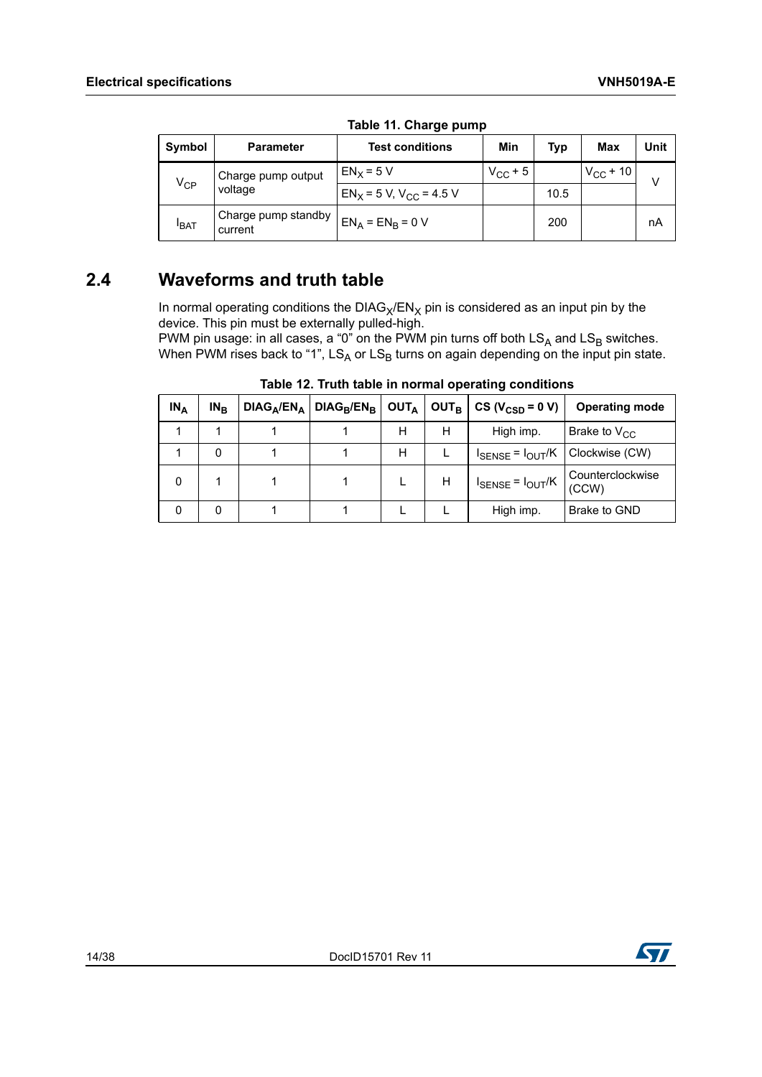<span id="page-13-1"></span>

| Symbol          | <b>Parameter</b>               | <b>Test conditions</b>       | Min          | Typ  | <b>Max</b>    | Unit |  |  |  |
|-----------------|--------------------------------|------------------------------|--------------|------|---------------|------|--|--|--|
|                 | Charge pump output             | $EN_x = 5 V$                 | $V_{CC}$ + 5 |      | $V_{CC}$ + 10 | V    |  |  |  |
| $V_{\text{CP}}$ | voltage                        | $EN_X = 5 V, V_{CC} = 4.5 V$ |              | 10.5 |               |      |  |  |  |
| <b>BAT</b>      | Charge pump standby<br>current | $EN_A = EN_B = 0 V$          |              | 200  |               | nА   |  |  |  |

**Table 11. Charge pump**

## <span id="page-13-0"></span>**2.4 Waveforms and truth table**

In normal operating conditions the  $DIAG_X/EN_X$  pin is considered as an input pin by the device. This pin must be externally pulled-high.

PWM pin usage: in all cases, a "0" on the PWM pin turns off both  $LS_A$  and  $LS_B$  switches. When PWM rises back to "1",  $LS_A$  or  $LS_B$  turns on again depending on the input pin state.

<span id="page-13-2"></span>

| $IN_A$ | $IN_{R}$ |  |   |   | $DIAG_A/EN_A$ DIAG <sub>B</sub> /EN <sub>B</sub> OUT <sub>A</sub> OUT <sub>B</sub> CS (V <sub>CSD</sub> = 0 V) | <b>Operating mode</b>     |
|--------|----------|--|---|---|----------------------------------------------------------------------------------------------------------------|---------------------------|
|        |          |  | н | н | High imp.                                                                                                      | Brake to $V_{CC}$         |
|        | 0        |  | н |   | $I_{\text{SENSE}} = I_{\text{OUT}}/K$   Clockwise (CW)                                                         |                           |
|        |          |  |   | н | $I_{\text{SENSE}} = I_{\text{OUT}}/K$                                                                          | Counterclockwise<br>(CCW) |
|        | 0        |  |   |   | High imp.                                                                                                      | Brake to GND              |

**Table 12. Truth table in normal operating conditions**

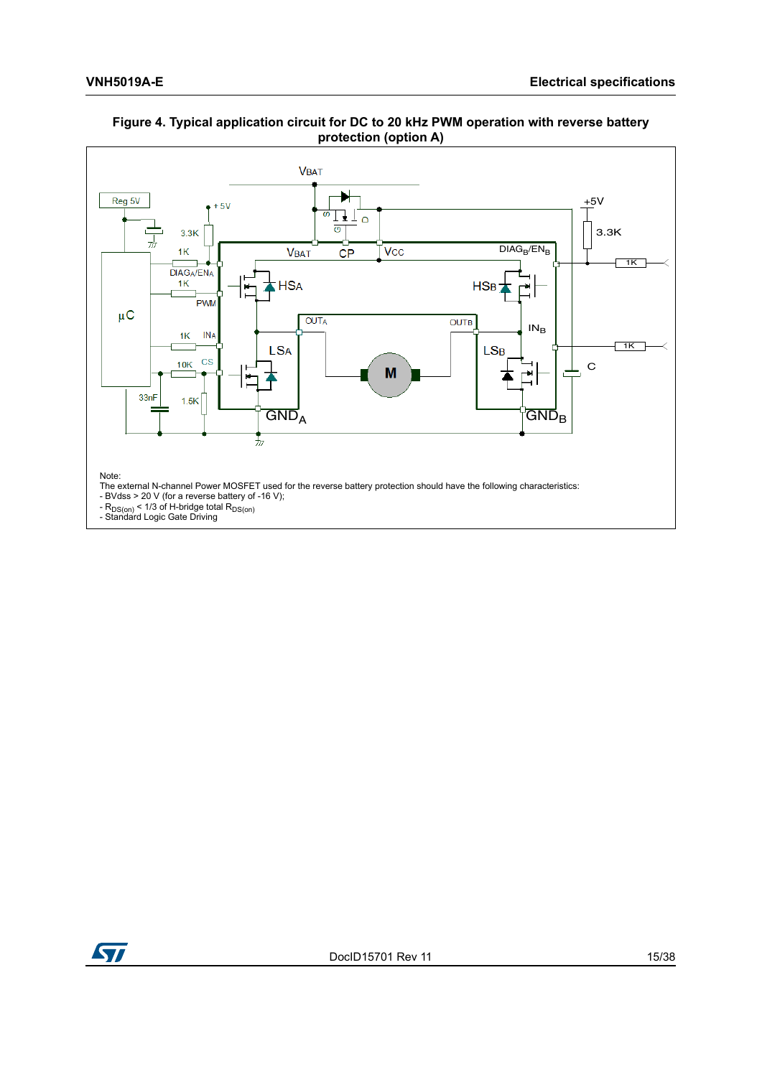

### <span id="page-14-0"></span>**Figure 4. Typical application circuit for DC to 20 kHz PWM operation with reverse battery protection (option A)**

The external N-channel Power MOSFET used for the reverse battery protection should have the following characteristics:

- BVdss > 20 V (for a reverse battery of -16 V);

- R<sub>DS(on)</sub> < 1/3 of H-bridge total R<sub>DS(on)</sub><br>- Standard Logic Gate Driving

ST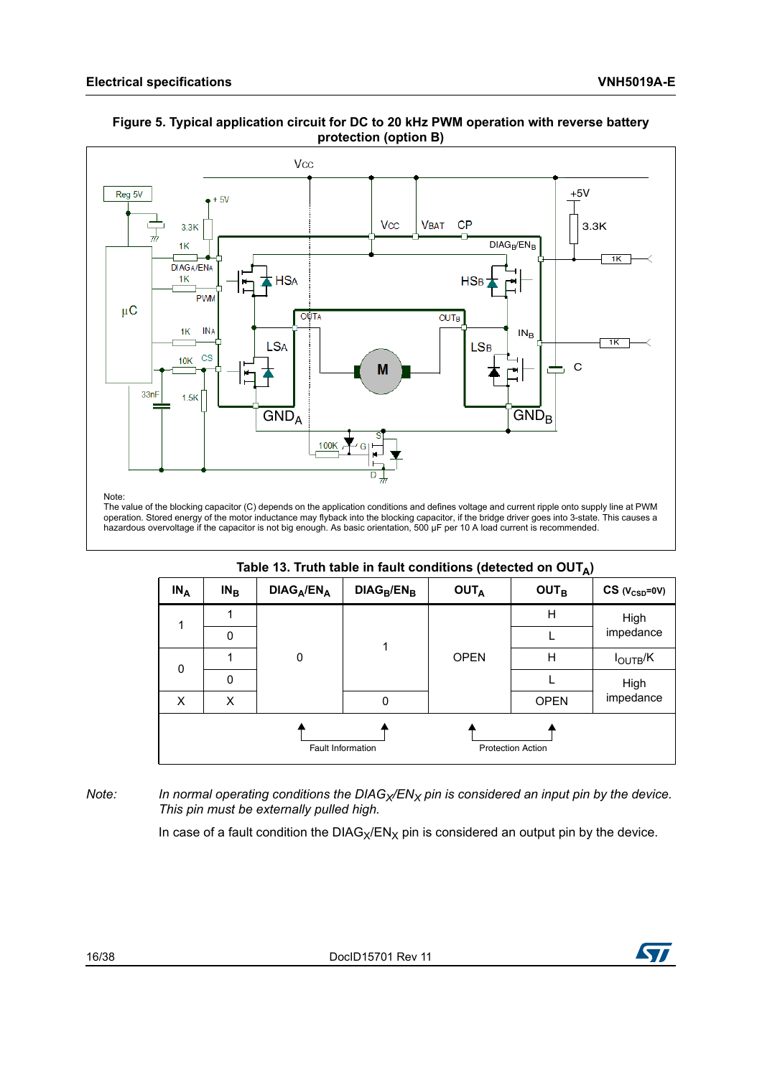

#### <span id="page-15-1"></span>**Figure 5. Typical application circuit for DC to 20 kHz PWM operation with reverse battery protection (option B)**

operation. Stored energy of the motor inductance may flyback into the blocking capacitor, if the bridge driver goes into 3-state. This causes a hazardous overvoltage if the capacitor is not big enough. As basic orientation, 500 μF per 10 A load current is recommended.

#### Table 13. Truth table in fault conditions (detected on OUT<sub>A</sub>)

<span id="page-15-0"></span>

| $IN_A$ | $IN_{B}$    | $DIAG_A/EN_A$ | $DIAG_B/EN_B$            | $\frac{1}{2}$<br><b>OUTA</b> | <b>OUT<sub>B</sub></b>   | $CS (V_{CSD} = 0V)$  |
|--------|-------------|---------------|--------------------------|------------------------------|--------------------------|----------------------|
|        |             |               | 1                        | <b>OPEN</b>                  | H                        | High                 |
|        | $\mathbf 0$ |               |                          |                              |                          | impedance            |
| 0      |             | 0             |                          |                              | Н                        | $I_{\text{OUTB}}$ /K |
|        | 0           |               |                          |                              |                          | High<br>impedance    |
| X      | X           |               | 0                        |                              | <b>OPEN</b>              |                      |
|        |             |               | <b>Fault Information</b> |                              | <b>Protection Action</b> |                      |

### *Note:* In normal operating conditions the DIAG<sub>X</sub>/EN<sub>X</sub> pin is considered an input pin by the device. *This pin must be externally pulled high.*

In case of a fault condition the  $DIAG_X/EN_X$  pin is considered an output pin by the device.

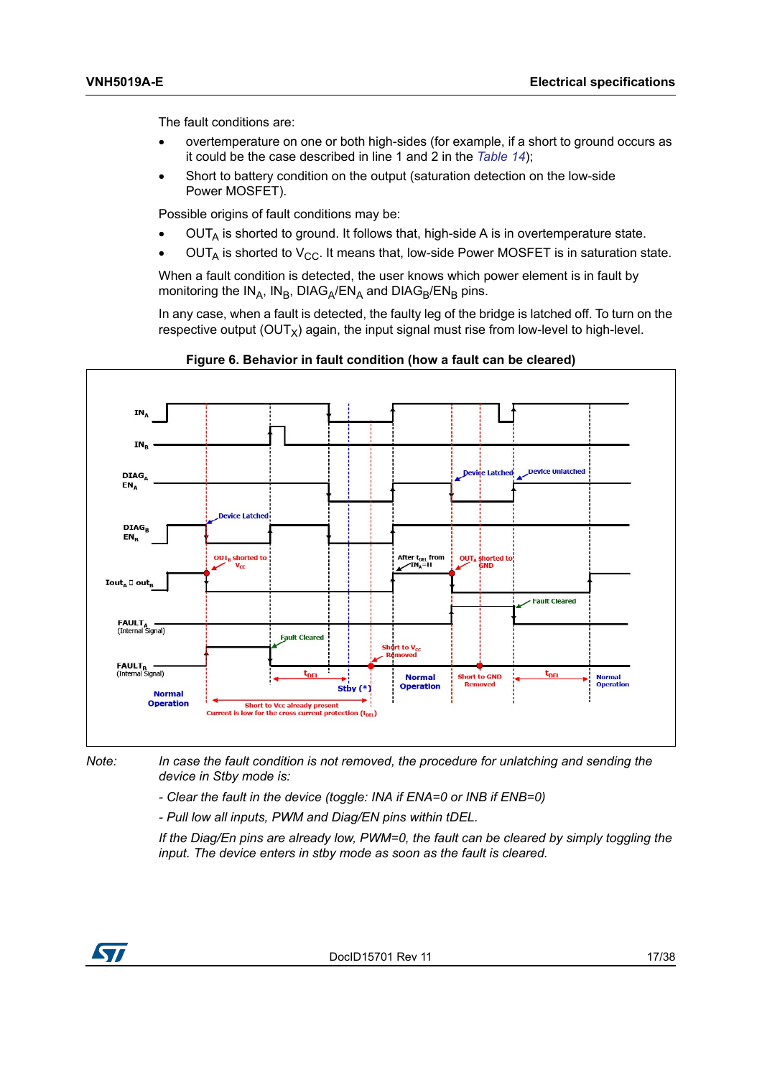The fault conditions are:

- overtemperature on one or both high-sides (for example, if a short to ground occurs as it could be the case described in line 1 and 2 in the *[Table 14](#page-17-0)*);
- Short to battery condition on the output (saturation detection on the low-side Power MOSFET).

Possible origins of fault conditions may be:

- $OUT_A$  is shorted to ground. It follows that, high-side A is in overtemperature state.
- $OUT_A$  is shorted to  $V_{CC}$ . It means that, low-side Power MOSFET is in saturation state.

When a fault condition is detected, the user knows which power element is in fault by monitoring the  $IN_A$ ,  $IN_B$ , DIAG<sub>A</sub>/EN<sub>A</sub> and DIAG<sub>B</sub>/EN<sub>B</sub> pins.

In any case, when a fault is detected, the faulty leg of the bridge is latched off. To turn on the respective output  $(OUT<sub>x</sub>)$  again, the input signal must rise from low-level to high-level.

<span id="page-16-0"></span>



*Note: In case the fault condition is not removed, the procedure for unlatching and sending the device in Stby mode is:*

*- Clear the fault in the device (toggle: INA if ENA=0 or INB if ENB=0)*

*- Pull low all inputs, PWM and Diag/EN pins within tDEL.*

*If the Diag/En pins are already low, PWM=0, the fault can be cleared by simply toggling the input. The device enters in stby mode as soon as the fault is cleared.*

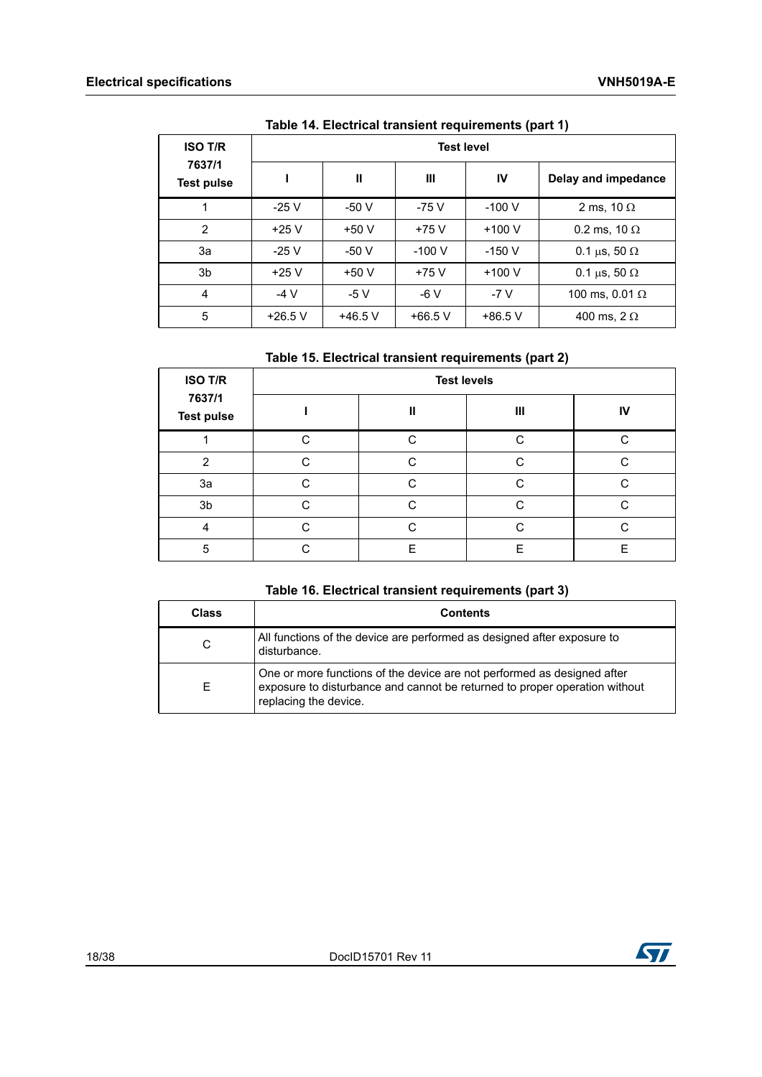<span id="page-17-0"></span>

| <b>ISO T/R</b>              | <b>Test level</b> |              |           |           |                          |  |
|-----------------------------|-------------------|--------------|-----------|-----------|--------------------------|--|
| 7637/1<br><b>Test pulse</b> |                   | $\mathbf{I}$ | Ш         | IV        | Delay and impedance      |  |
| 1                           | $-25V$            | $-50V$       | -75 V     | $-100V$   | 2 ms, 10 $\Omega$        |  |
| 2                           | $+25V$            | $+50V$       | $+75V$    | $+100V$   | 0.2 ms, 10 $\Omega$      |  |
| За                          | $-25V$            | $-50V$       | $-100V$   | $-150V$   | 0.1 $\mu$ s, 50 $\Omega$ |  |
| 3b                          | $+25V$            | $+50V$       | $+75V$    | $+100V$   | 0.1 $\mu$ s, 50 $\Omega$ |  |
| 4                           | $-4V$             | $-5V$        | $-6V$     | $-7V$     | 100 ms, 0.01 $\Omega$    |  |
| 5                           | $+26.5$ V         | $+46.5$ V    | $+66.5$ V | $+86.5$ V | 400 ms, $2 \Omega$       |  |

| Table 14. Electrical transient requirements (part 1) |  |
|------------------------------------------------------|--|
|------------------------------------------------------|--|

## **Table 15. Electrical transient requirements (part 2)**

<span id="page-17-1"></span>

| <b>ISO T/R</b>              | <b>Test levels</b> |   |   |    |  |  |  |
|-----------------------------|--------------------|---|---|----|--|--|--|
| 7637/1<br><b>Test pulse</b> |                    | Ш | Ш | IV |  |  |  |
|                             | C                  | ◠ | ⌒ | ◠  |  |  |  |
| $\mathcal{P}$               | ⌒                  | ⌒ | ⌒ | ⌒  |  |  |  |
| 3a                          | $\cap$             | C | C | C. |  |  |  |
| 3 <sub>b</sub>              | $\cap$             | C | С | C  |  |  |  |
| 4                           | ⌒                  | ⌒ | ⌒ | ⌒  |  |  |  |
| 5                           |                    | F | F | F  |  |  |  |

## **Table 16. Electrical transient requirements (part 3)**

<span id="page-17-2"></span>

| <b>Class</b> | <b>Contents</b>                                                                                                                                                                |
|--------------|--------------------------------------------------------------------------------------------------------------------------------------------------------------------------------|
| C            | All functions of the device are performed as designed after exposure to<br>disturbance.                                                                                        |
| F            | One or more functions of the device are not performed as designed after<br>exposure to disturbance and cannot be returned to proper operation without<br>replacing the device. |

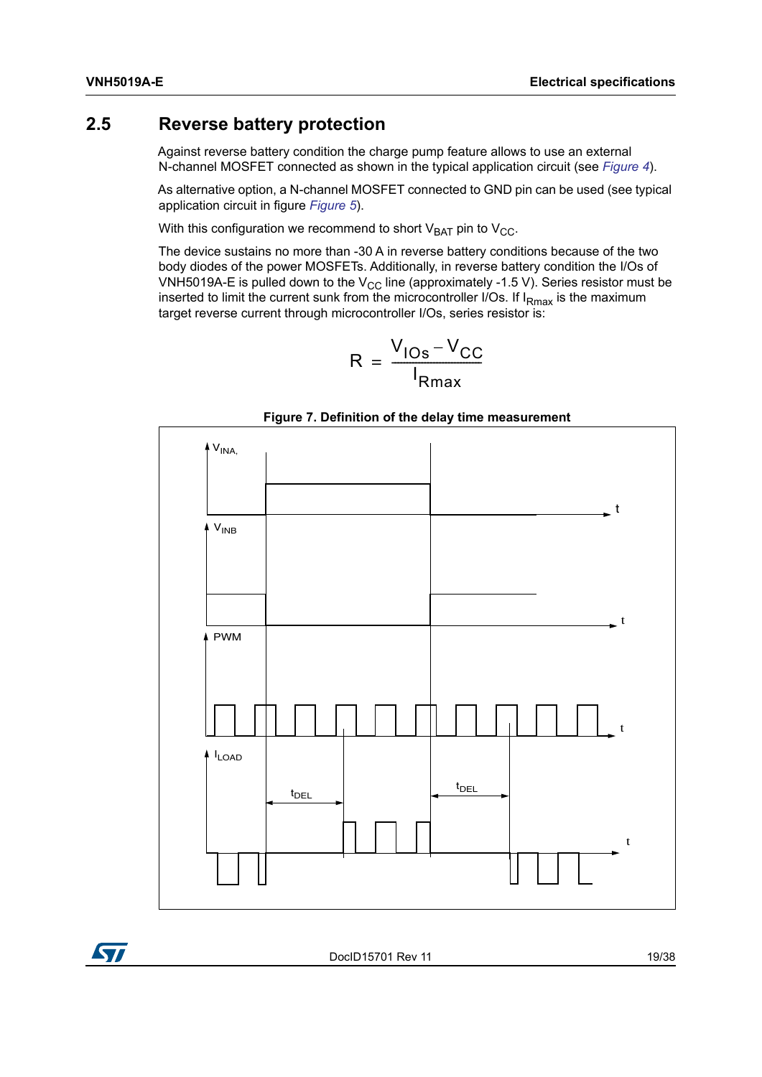## <span id="page-18-0"></span>**2.5 Reverse battery protection**

Against reverse battery condition the charge pump feature allows to use an external N-channel MOSFET connected as shown in the typical application circuit (see *[Figure 4](#page-14-0)*).

As alternative option, a N-channel MOSFET connected to GND pin can be used (see typical application circuit in figure *[Figure 5](#page-15-1)*).

With this configuration we recommend to short  $V_{BAT}$  pin to  $V_{CC}$ .

The device sustains no more than -30 A in reverse battery conditions because of the two body diodes of the power MOSFETs. Additionally, in reverse battery condition the I/Os of VNH5019A-E is pulled down to the  $V_{CC}$  line (approximately -1.5 V). Series resistor must be inserted to limit the current sunk from the microcontroller I/Os. If  $I_{Rmax}$  is the maximum target reverse current through microcontroller I/Os, series resistor is:

$$
R = \frac{V_{\text{los}} - V_{\text{CC}}}{I_{\text{Rmax}}}
$$

<span id="page-18-1"></span>



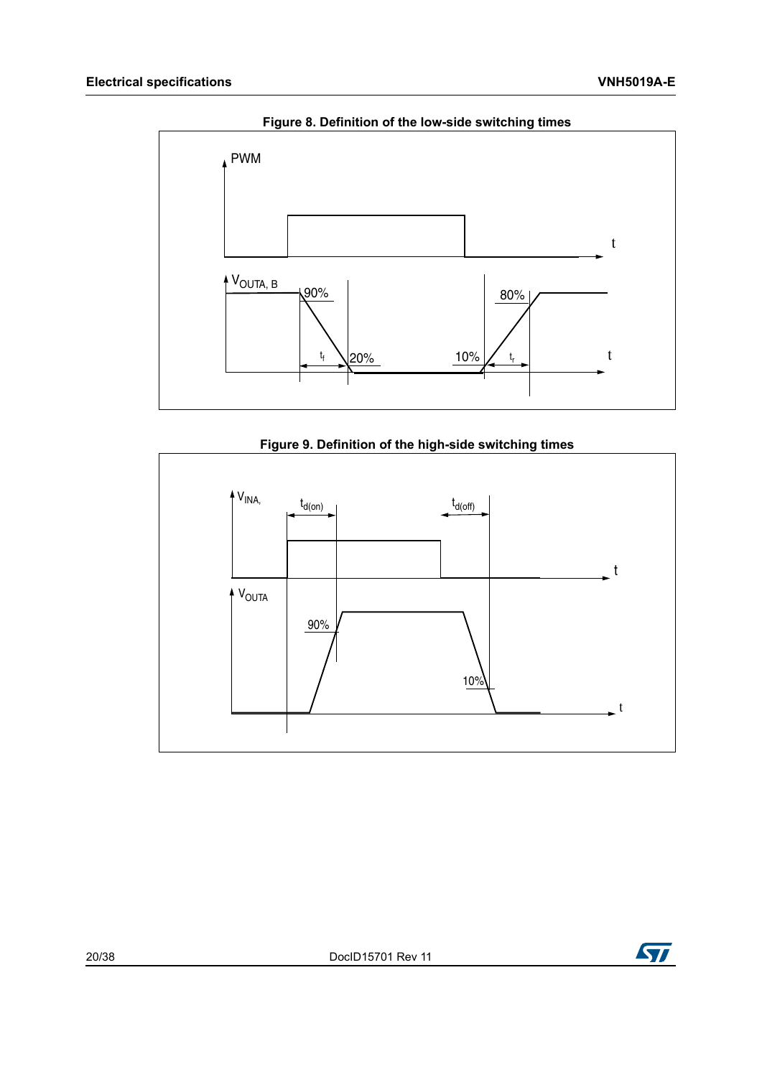<span id="page-19-0"></span>

**Figure 8. Definition of the low-side switching times**



<span id="page-19-1"></span>

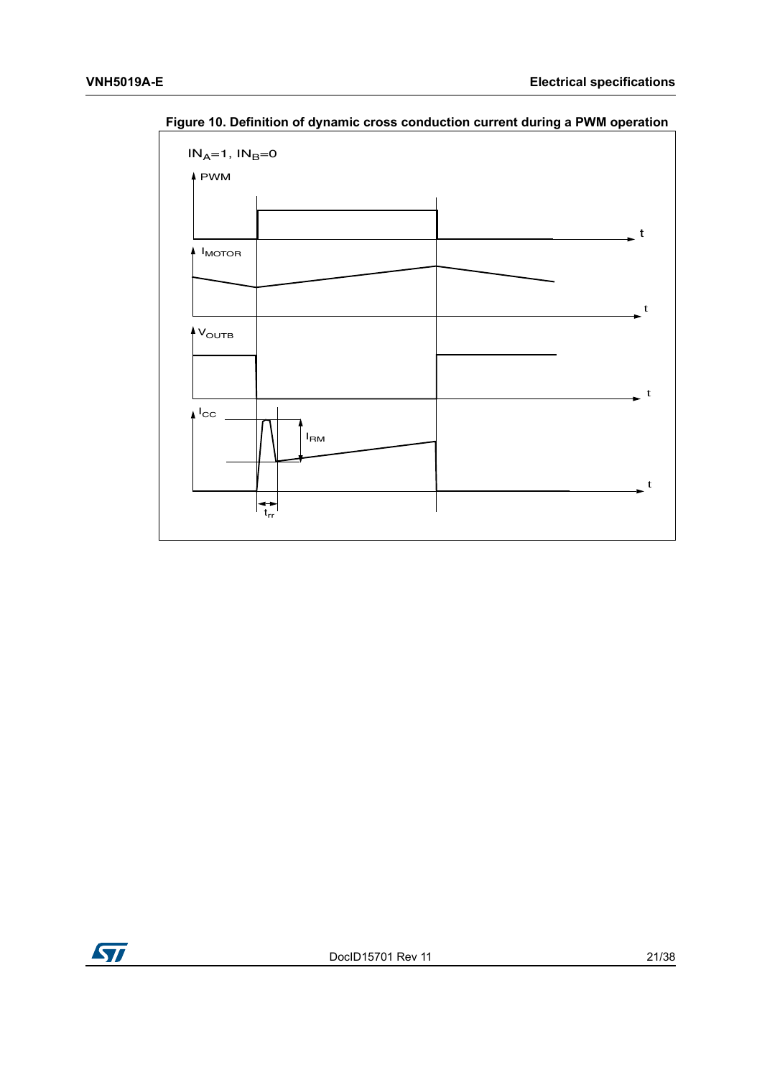

<span id="page-20-0"></span>**Figure 10. Definition of dynamic cross conduction current during a PWM operation**

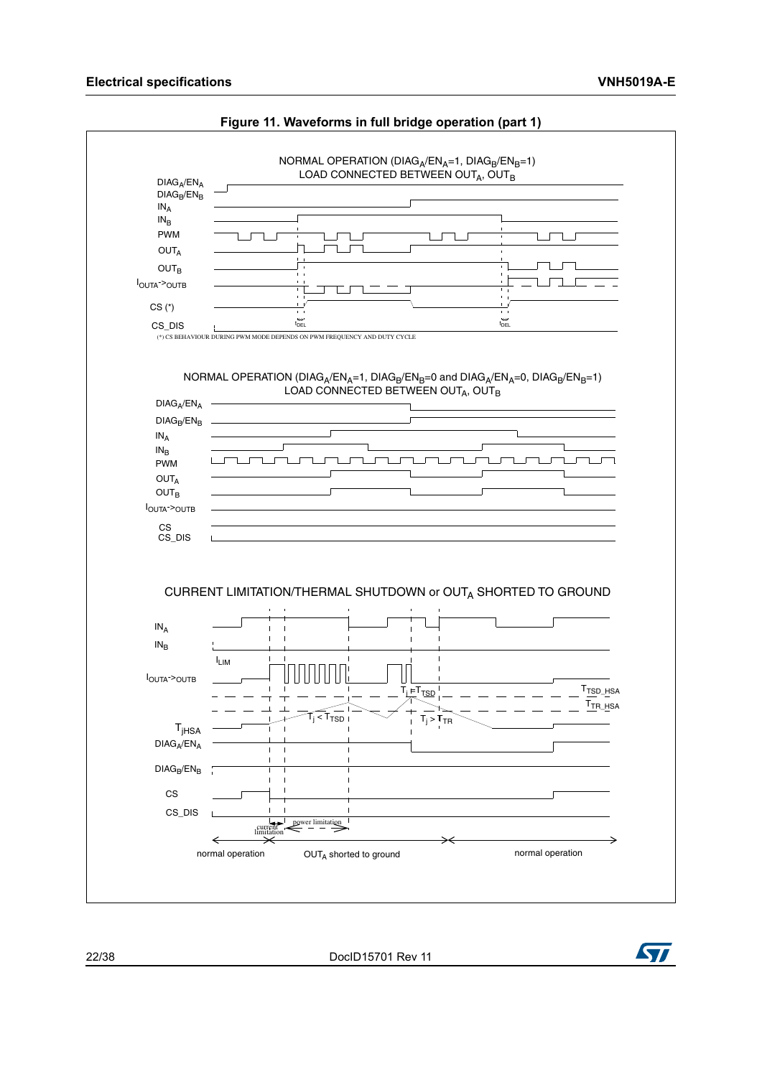<span id="page-21-0"></span>

#### **Figure 11. Waveforms in full bridge operation (part 1)**

22/38 DocID15701 Rev 11

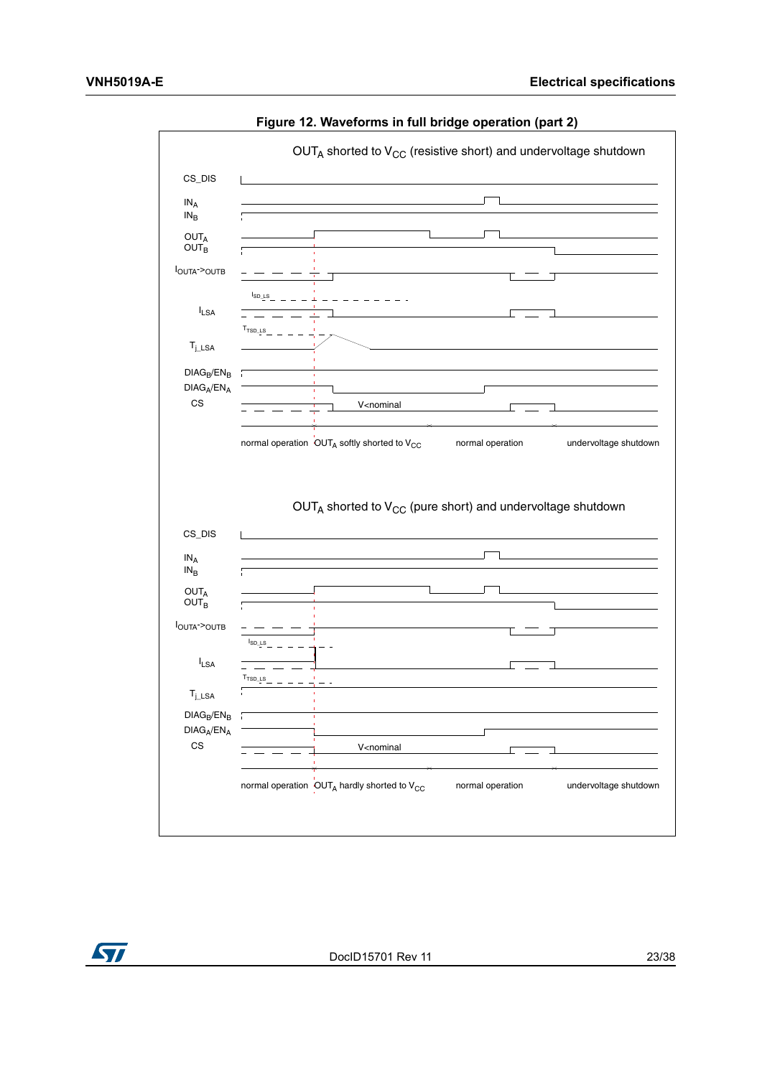<span id="page-22-0"></span>

**Figure 12. Waveforms in full bridge operation (part 2)** 

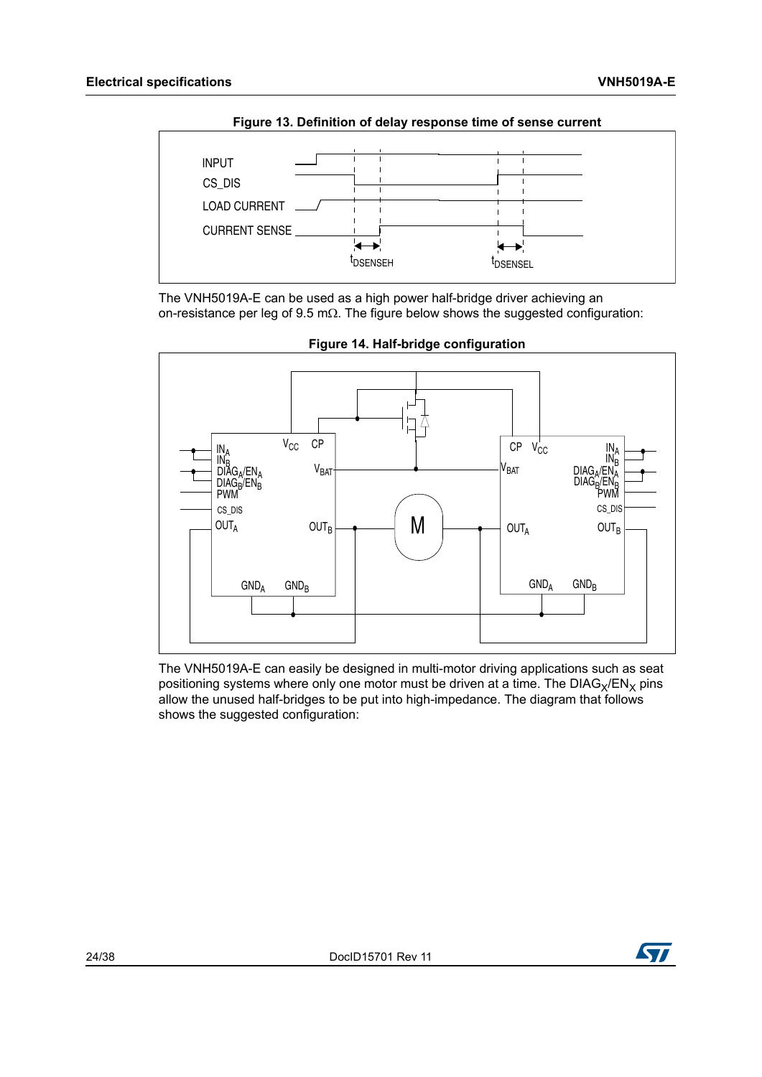<span id="page-23-0"></span>

**Figure 13. Definition of delay response time of sense current**

The VNH5019A-E can be used as a high power half-bridge driver achieving an on-resistance per leg of  $9.5 \text{ m}\Omega$ . The figure below shows the suggested configuration:

<span id="page-23-1"></span>

**Figure 14. Half-bridge configuration**

The VNH5019A-E can easily be designed in multi-motor driving applications such as seat positioning systems where only one motor must be driven at a time. The  $DIAG_X/EN_X$  pins allow the unused half-bridges to be put into high-impedance. The diagram that follows shows the suggested configuration:

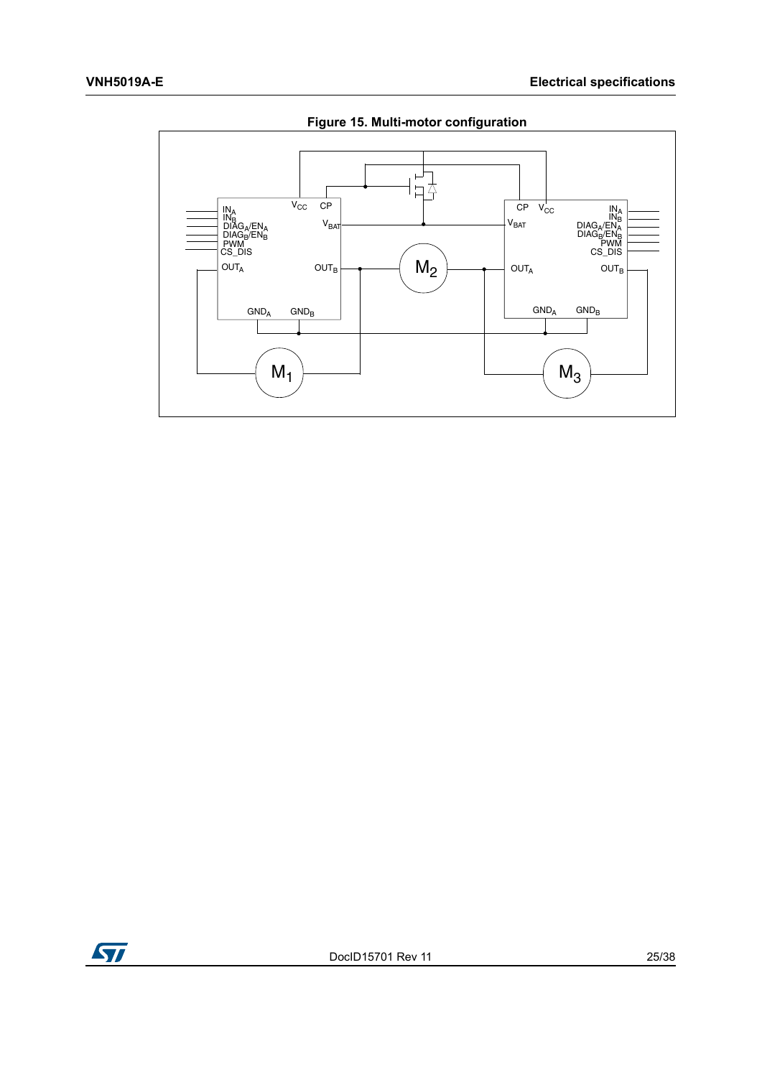<span id="page-24-0"></span>

**Figure 15. Multi-motor configuration**

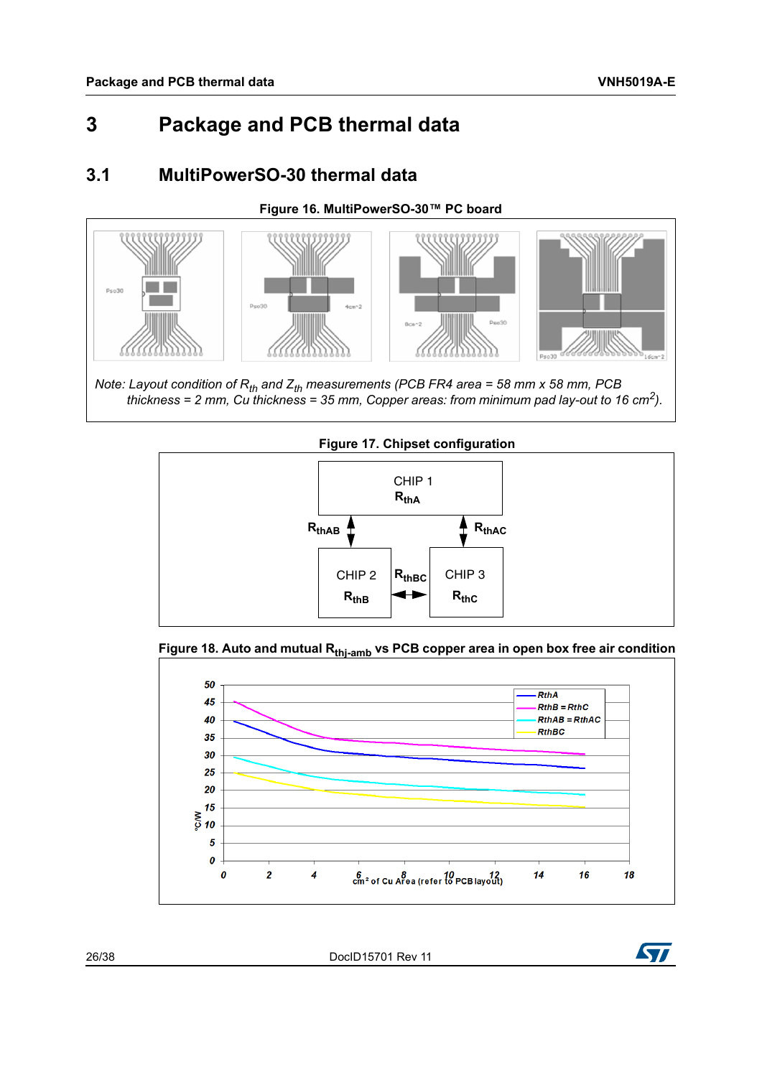# <span id="page-25-0"></span>**3 Package and PCB thermal data**

## <span id="page-25-1"></span>**3.1 MultiPowerSO-30 thermal data**

### **Figure 16. MultiPowerSO-30™ PC board**

<span id="page-25-2"></span>

*Note: Layout condition of R<sub>th</sub> and Z<sub>th</sub> measurements (PCB FR4 area = 58 mm x 58 mm, PCB thickness = 2 mm, Cu thickness = 35 mm, Copper areas: from minimum pad lay-out to 16 cm2).*

<span id="page-25-3"></span>

### <span id="page-25-4"></span>Figure 18. Auto and mutual R<sub>thi-amb</sub> vs PCB copper area in open box free air condition



26/38 DocID15701 Rev 11

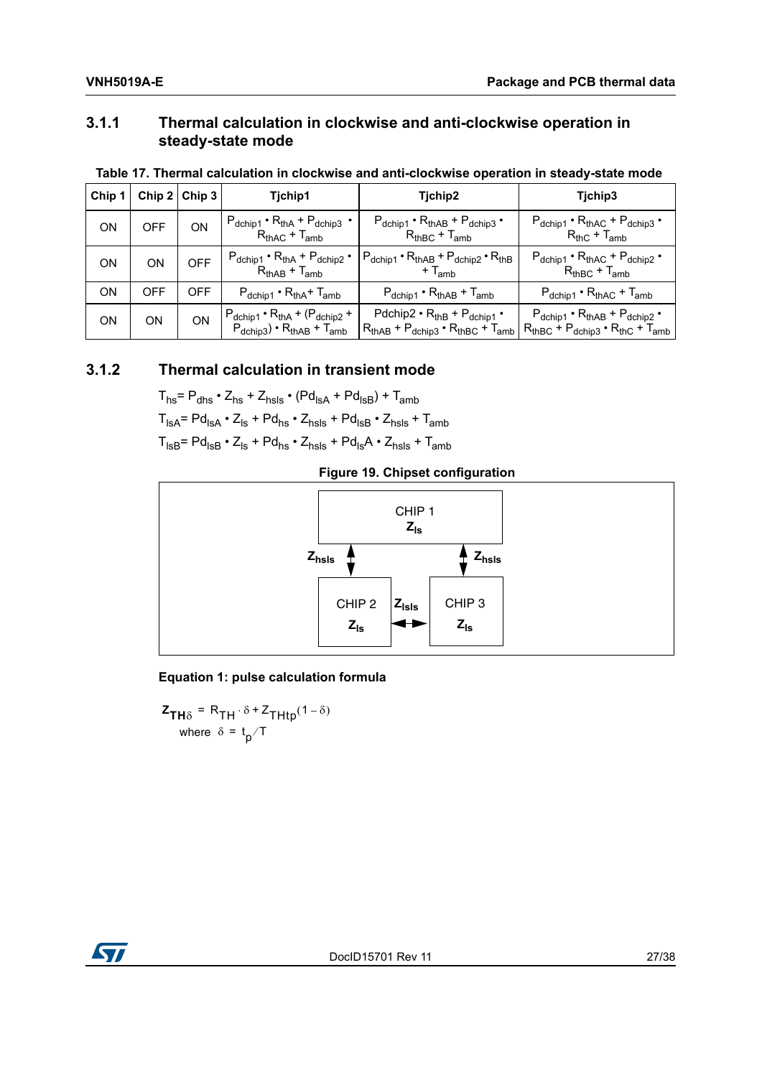## <span id="page-26-0"></span>**3.1.1 Thermal calculation in clockwise and anti-clockwise operation in steady-state mode**

<span id="page-26-2"></span>

|  |  | Table 17. Thermal calculation in clockwise and anti-clockwise operation in steady-state mode |  |  |  |
|--|--|----------------------------------------------------------------------------------------------|--|--|--|
|  |  |                                                                                              |  |  |  |

| Chip 1 | Chip $2$ Chip 3 |            | Tjchip1                                                                                                  | Tjchip2                                                                                    | Tichip3                                                                                             |
|--------|-----------------|------------|----------------------------------------------------------------------------------------------------------|--------------------------------------------------------------------------------------------|-----------------------------------------------------------------------------------------------------|
| ON     | <b>OFF</b>      | ON         | $P_{dchip1} \cdot R_{thA} + P_{dchip3} \cdot$<br>$R_{thAC} + T_{amb}$                                    | $P_{dchip1} \cdot R_{thAB} + P_{dchip3} \cdot$<br>$R_{thBC} + T_{amb}$                     | $P_{dchip1} \cdot R_{thAC} + P_{dchip3} \cdot$<br>$R_{thC}$ + $T_{amb}$                             |
| ON     | ON              | <b>OFF</b> | $P_{dchip1} \cdot R_{thA} + P_{dchip2} \cdot$<br>$R_{thAB} + T_{amb}$                                    | $P_{dchip1} \cdot R_{thAB} + P_{dchip2} \cdot R_{thB}$<br>$+T_{amb}$                       | $P_{dchip1} \cdot R_{thAC} + P_{dchip2} \cdot$<br>$R_{thBC} + T_{amb}$                              |
| ON     | <b>OFF</b>      | <b>OFF</b> | $P_{\text{dchip1}} \cdot R_{\text{thA}} + T_{\text{amb}}$                                                | $P_{\text{dchip1}} \cdot R_{\text{thAB}} + T_{\text{amb}}$                                 | $P_{\text{dchip1}} \cdot R_{\text{thAC}} + T_{\text{amb}}$                                          |
| ON     | ΟN              | OΝ         | $P_{dchip1} \cdot R_{thA} + (P_{dchip2} +$<br>$P_{\text{dchip3}}$ • $R_{\text{thAB}}$ + $T_{\text{amb}}$ | $Pdchip2 \cdot RthB + Pdchip1 \cdot$<br>$R_{thAB}$ + $P_{dchip3}$ • $R_{thBC}$ + $T_{amb}$ | $P_{dchip1} \cdot R_{thAB} + P_{dchip2} \cdot$<br>$R_{thBC}$ + $P_{dchip3}$ • $R_{thC}$ + $T_{amb}$ |

## <span id="page-26-1"></span>**3.1.2 Thermal calculation in transient mode**

 $T_{hs} = P_{\text{dhs}} \cdot Z_{\text{hs}} + Z_{\text{hsls}} \cdot (Pd_{\text{lsA}} + Pd_{\text{lsB}}) + T_{\text{amb}}$ 

 $T_{\text{lsA}} = Pd_{\text{lsA}} \cdot Z_{\text{ls}} + Pd_{\text{hs}} \cdot Z_{\text{hsls}} + Pd_{\text{lsB}} \cdot Z_{\text{hsls}} + T_{\text{amb}}$ 

 $\mathsf{T}_{\mathsf{ISB}}\texttt{=}\ \mathsf{Pd}_{\mathsf{ISB}}\bullet\mathsf{Z}_{\mathsf{ls}}\texttt{+}\ \mathsf{Pd}_{\mathsf{hs}}\bullet\mathsf{Z}_{\mathsf{nsls}}\texttt{+}\ \mathsf{Pd}_{\mathsf{ls}}\mathsf{A}\bullet\mathsf{Z}_{\mathsf{nsls}}\texttt{+}\ \mathsf{T}_{\mathsf{amb}}$ 

## **Figure 19. Chipset configuration**

<span id="page-26-3"></span>

### **Equation 1: pulse calculation formula**

 $Z_{TH\delta}$  = R<sub>TH</sub> $\cdot \delta$  +  $Z_{THtp}(1-\delta)$ where  $\delta = \frac{t}{p}$  T

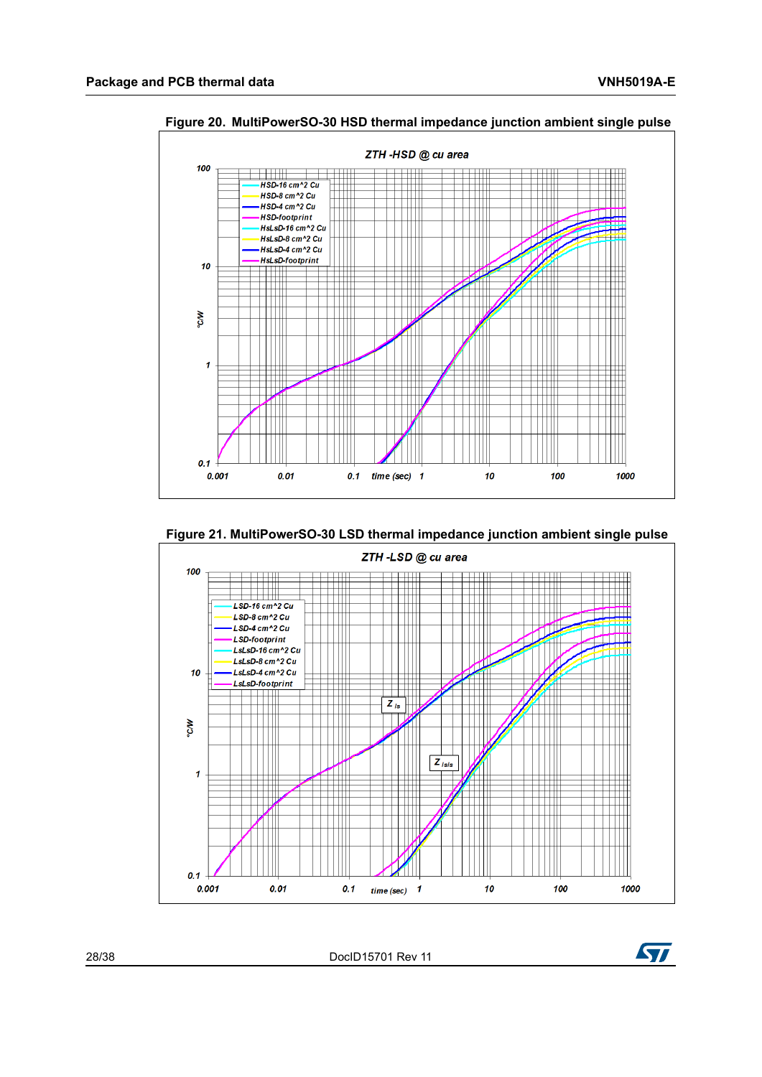

<span id="page-27-0"></span>**Figure 20. MultiPowerSO-30 HSD thermal impedance junction ambient single pulse**

<span id="page-27-1"></span>



28/38 DocID15701 Rev 11

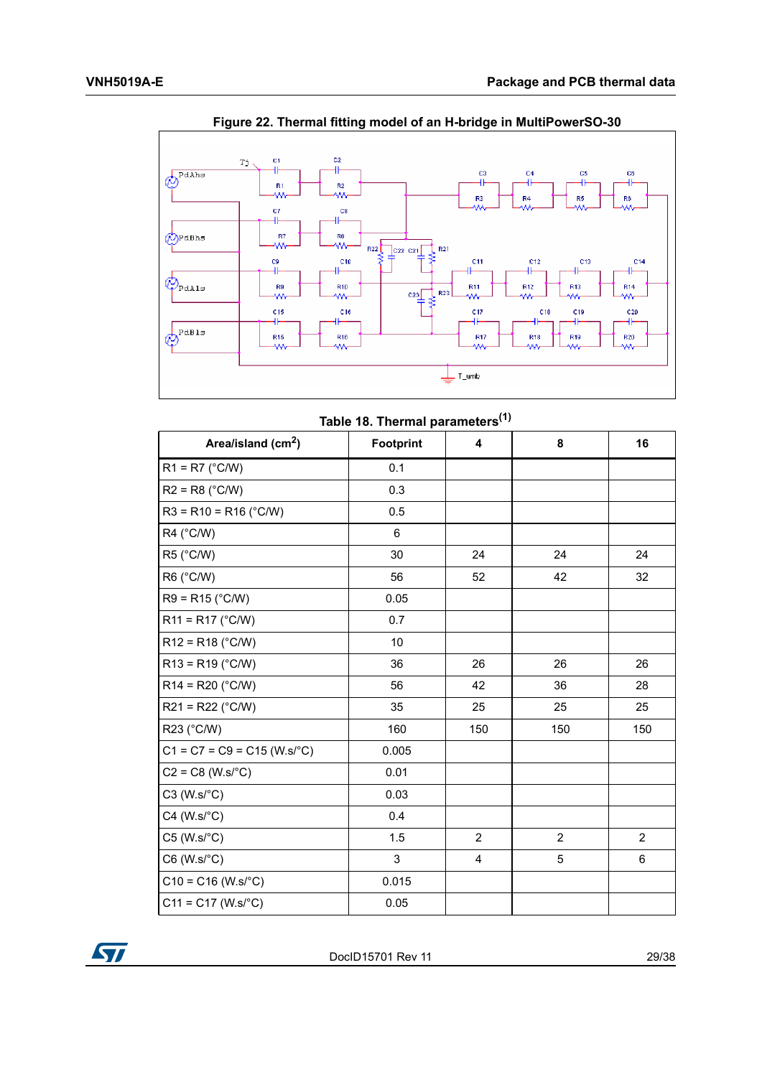<span id="page-28-1"></span>

**Figure 22. Thermal fitting model of an H-bridge in MultiPowerSO-30**

|  | Table 18. Thermal parameters <sup>(1)</sup> |  |
|--|---------------------------------------------|--|
|  |                                             |  |

<span id="page-28-0"></span>

| Area/island (cm <sup>2</sup> ) | Footprint | 4              | 8              | 16             |
|--------------------------------|-----------|----------------|----------------|----------------|
| $R1 = R7$ (°C/W)               | 0.1       |                |                |                |
| $R2 = R8$ (°C/W)               | 0.3       |                |                |                |
| $R3 = R10 = R16$ (°C/W)        | 0.5       |                |                |                |
| $R4$ ( $^{\circ}$ C/W)         | 6         |                |                |                |
| R5 (°C/W)                      | 30        | 24             | 24             | 24             |
| R6 (°C/W)                      | 56        | 52             | 42             | 32             |
| $R9 = R15$ (°C/W)              | 0.05      |                |                |                |
| $R11 = R17$ (°C/W)             | 0.7       |                |                |                |
| $R12 = R18$ (°C/W)             | 10        |                |                |                |
| $R13 = R19$ (°C/W)             | 36        | 26             | 26             | 26             |
| $R14 = R20$ (°C/W)             | 56        | 42             | 36             | 28             |
| $R21 = R22$ (°C/W)             | 35        | 25             | 25             | 25             |
| R23 (°C/W)                     | 160       | 150            | 150            | 150            |
| $C1 = C7 = C9 = C15 (W.s/°C)$  | 0.005     |                |                |                |
| $C2 = C8 (W.s/°C)$             | 0.01      |                |                |                |
| $C3$ (W.s/ $°C$ )              | 0.03      |                |                |                |
| $C4$ (W.s/ $°C$ )              | 0.4       |                |                |                |
| $C5$ (W.s/ $\textdegree C$ )   | 1.5       | $\overline{2}$ | $\overline{2}$ | $\overline{2}$ |
| $C6$ (W.s/ $\textdegree$ C)    | 3         | 4              | 5              | 6              |
| $C10 = C16$ (W.s/°C)           | 0.015     |                |                |                |
| $C11 = C17 (W.s/°C)$           | 0.05      |                |                |                |

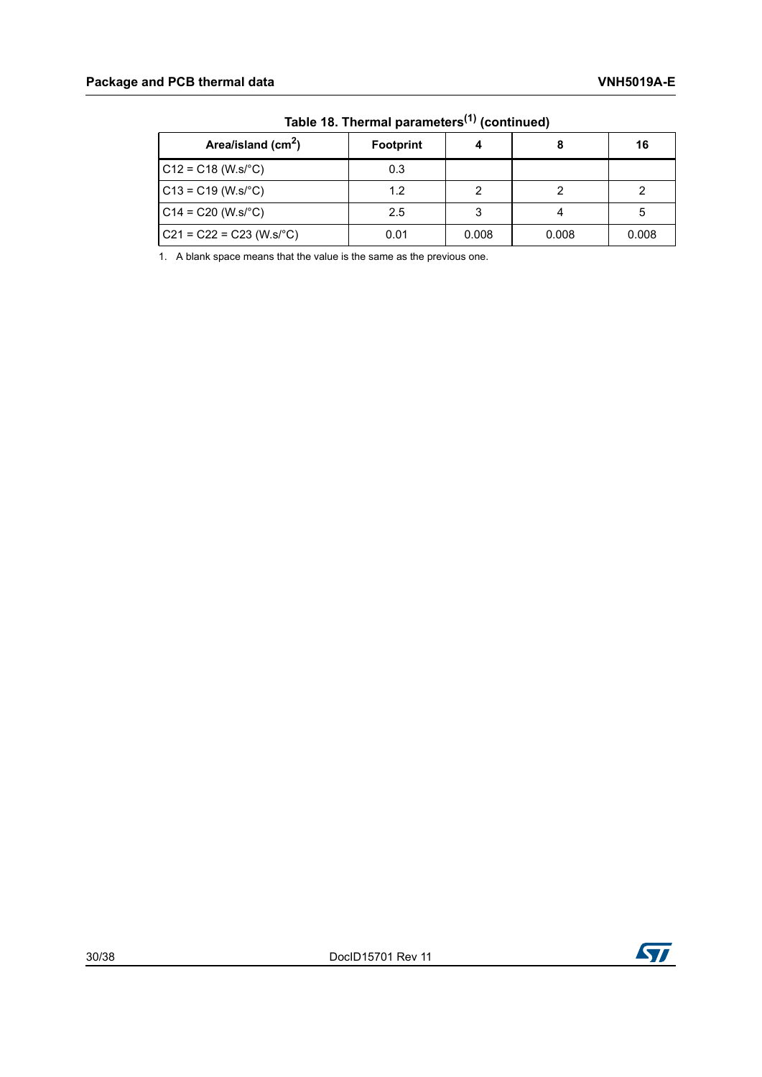| .                          |                  |       |       |       |  |  |  |
|----------------------------|------------------|-------|-------|-------|--|--|--|
| Area/island $(cm2)$        | <b>Footprint</b> |       |       | 16    |  |  |  |
| $C12 = C18$ (W.s/°C)       | 0.3              |       |       |       |  |  |  |
| $CG13 = C19 (W.s/°C)$      | 1.2              |       |       |       |  |  |  |
| $C14 = C20 (W.s/°C)$       | 2.5              |       |       |       |  |  |  |
| $C21 = C22 = C23 (W.s/°C)$ | 0.01             | 0.008 | 0.008 | 0.008 |  |  |  |

**Table 18. Thermal parameters(1) (continued)**

1. A blank space means that the value is the same as the previous one.

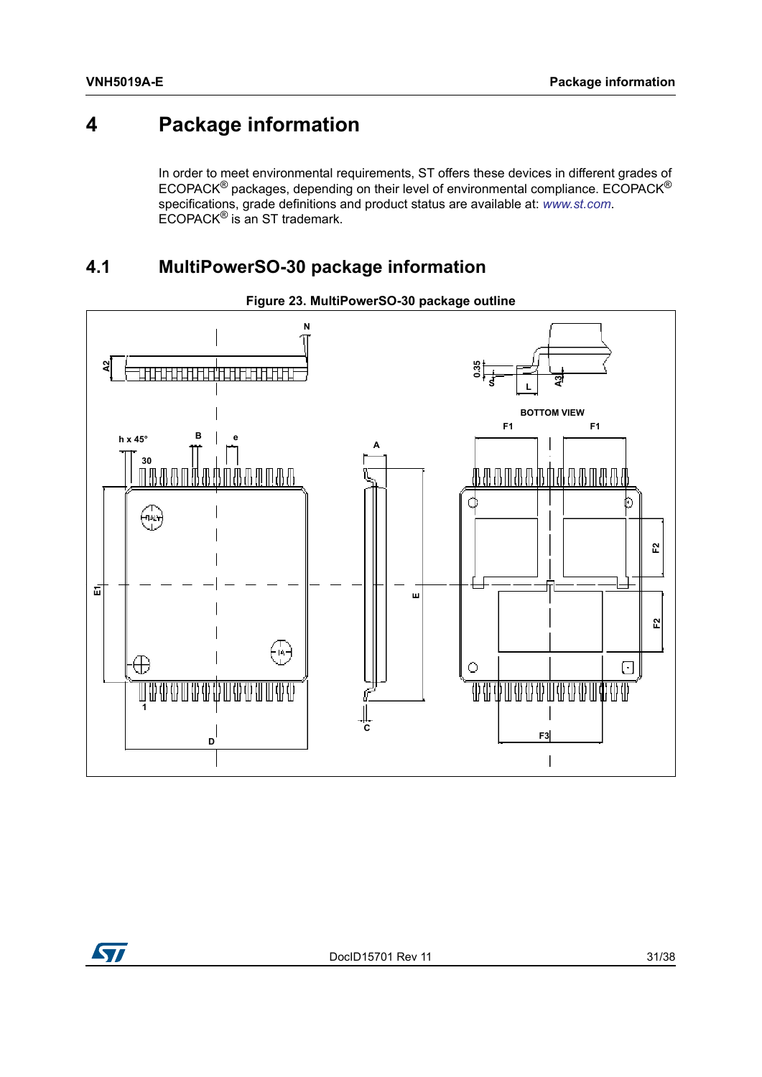# <span id="page-30-0"></span>**4 Package information**

In order to meet environmental requirements, ST offers these devices in different grades of ECOPACK® packages, depending on their level of environmental compliance. ECOPACK® specifications, grade definitions and product status are available at: *[www.st.com](http://www.st.com)*. ECOPACK® is an ST trademark.

## <span id="page-30-1"></span>**4.1 MultiPowerSO-30 package information**

<span id="page-30-2"></span>

### **Figure 23. MultiPowerSO-30 package outline**



DocID15701 Rev 11 31/38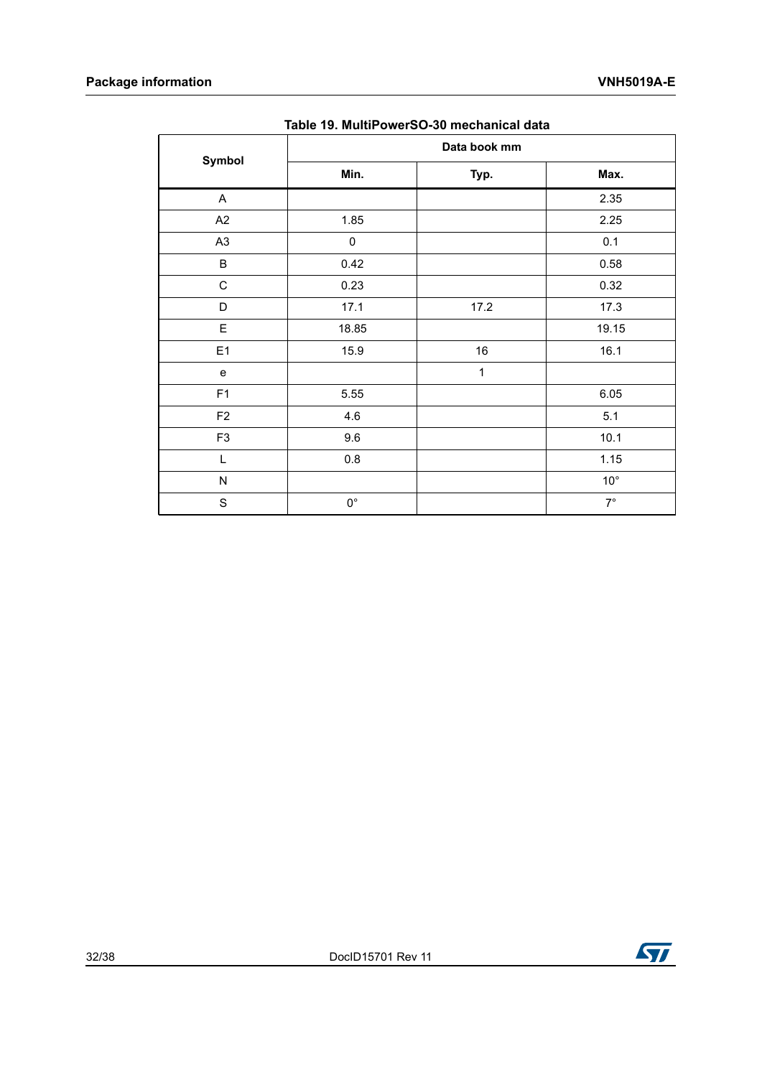<span id="page-31-0"></span>

|                | Data book mm |        |              |  |  |  |  |  |
|----------------|--------------|--------|--------------|--|--|--|--|--|
| Symbol         | Min.         | Typ.   | Max.         |  |  |  |  |  |
| A              |              |        | 2.35         |  |  |  |  |  |
| A2             | 1.85         |        | 2.25         |  |  |  |  |  |
| A <sub>3</sub> | $\pmb{0}$    |        | 0.1          |  |  |  |  |  |
| $\sf B$        | 0.42         |        | 0.58         |  |  |  |  |  |
| $\mathsf C$    | 0.23         |        | 0.32         |  |  |  |  |  |
| D              | 17.1         | 17.2   | 17.3         |  |  |  |  |  |
| E              | 18.85        |        | 19.15        |  |  |  |  |  |
| E1             | 15.9         | $16\,$ | 16.1         |  |  |  |  |  |
| e              |              | 1      |              |  |  |  |  |  |
| F <sub>1</sub> | 5.55         |        | 6.05         |  |  |  |  |  |
| F <sub>2</sub> | 4.6          |        | 5.1          |  |  |  |  |  |
| F <sub>3</sub> | 9.6          |        | 10.1         |  |  |  |  |  |
| L              | 0.8          |        | 1.15         |  |  |  |  |  |
| ${\sf N}$      |              |        | $10^{\circ}$ |  |  |  |  |  |
| S              | $0^{\circ}$  |        | $7^\circ$    |  |  |  |  |  |

**Table 19. MultiPowerSO-30 mechanical data**

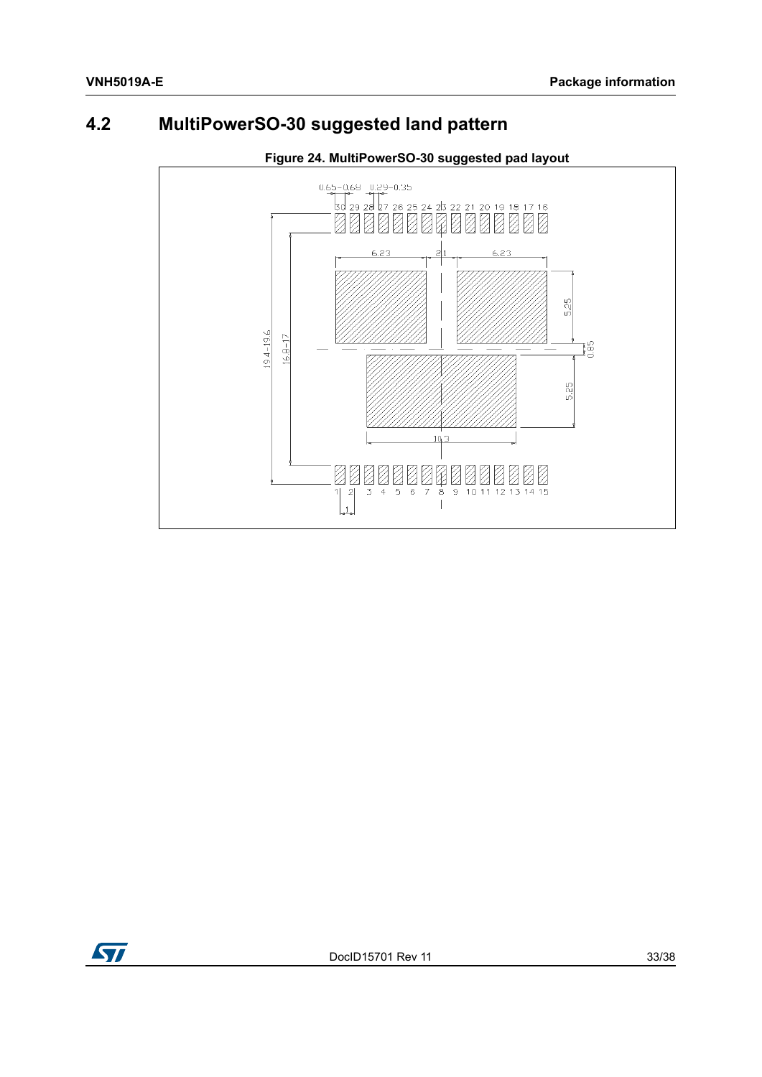## <span id="page-32-0"></span>**4.2 MultiPowerSO-30 suggested land pattern**

<span id="page-32-1"></span>

## **Figure 24. MultiPowerSO-30 suggested pad layout**

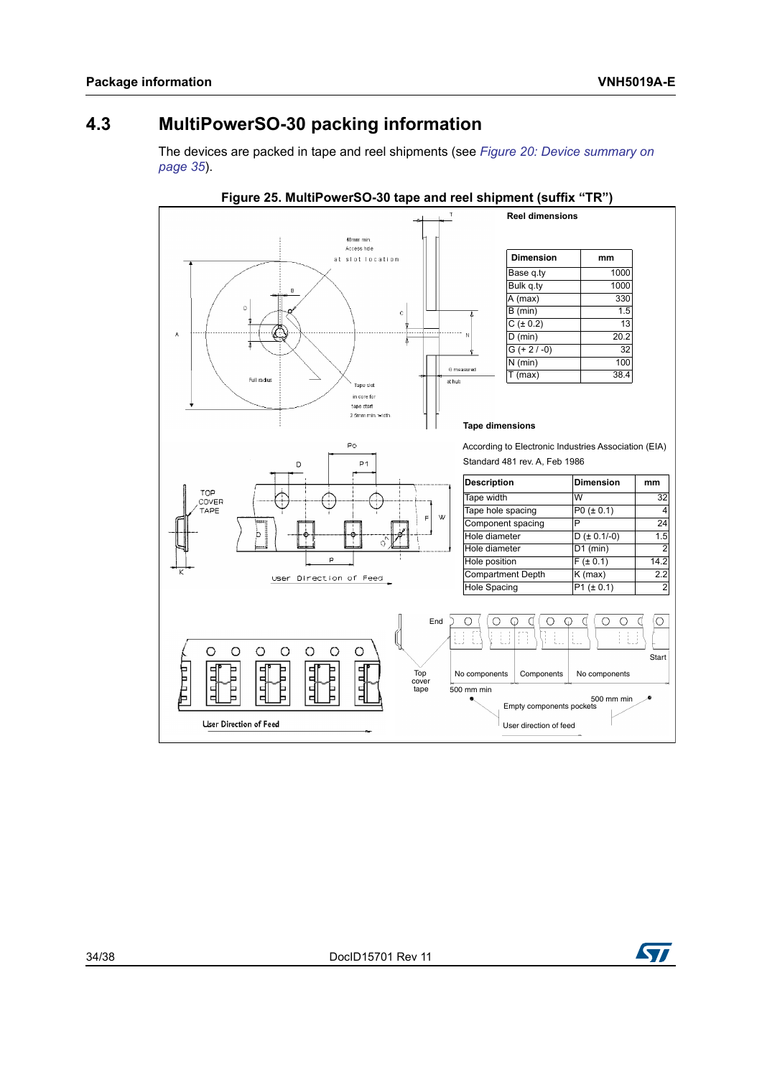## <span id="page-33-0"></span>**4.3 MultiPowerSO-30 packing information**

The devices are packed in tape and reel shipments (see *[Figure 20: Device summary on](#page-34-1)  [page 35](#page-34-1)*).

<span id="page-33-1"></span>

**ST**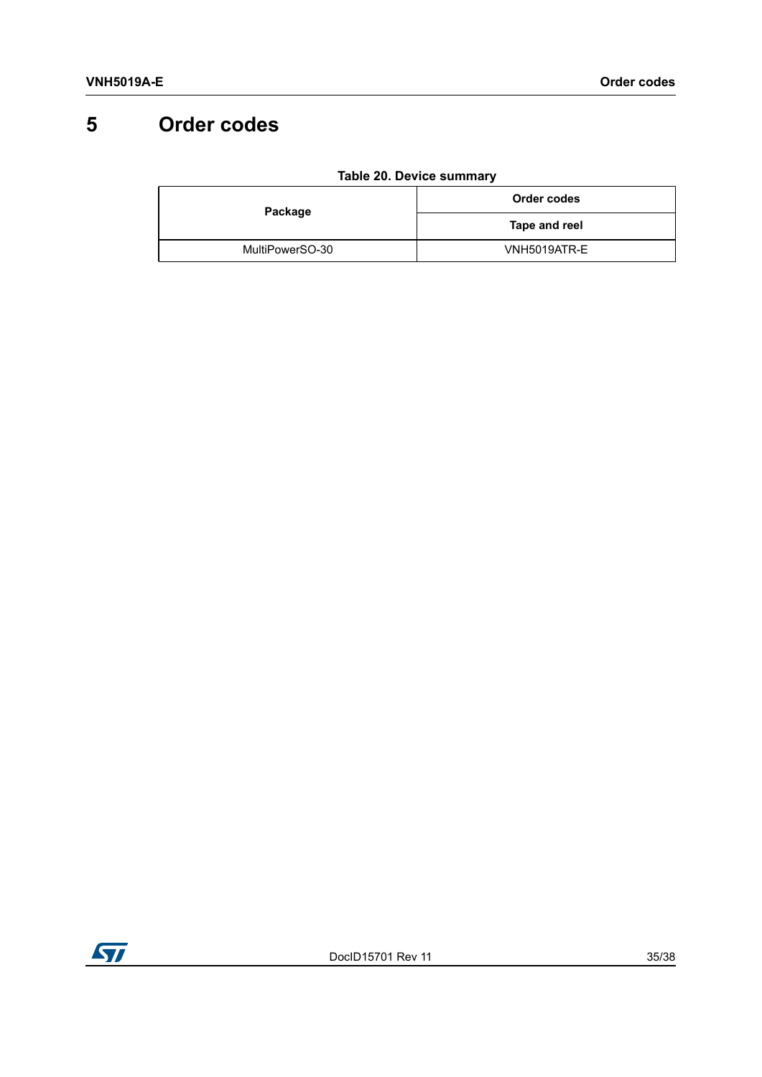# <span id="page-34-0"></span>**5 Order codes**

<span id="page-34-1"></span>

| Package         | Order codes   |  |
|-----------------|---------------|--|
|                 | Tape and reel |  |
| MultiPowerSO-30 | VNH5019ATR-E  |  |

#### **Table 20. Device summary**

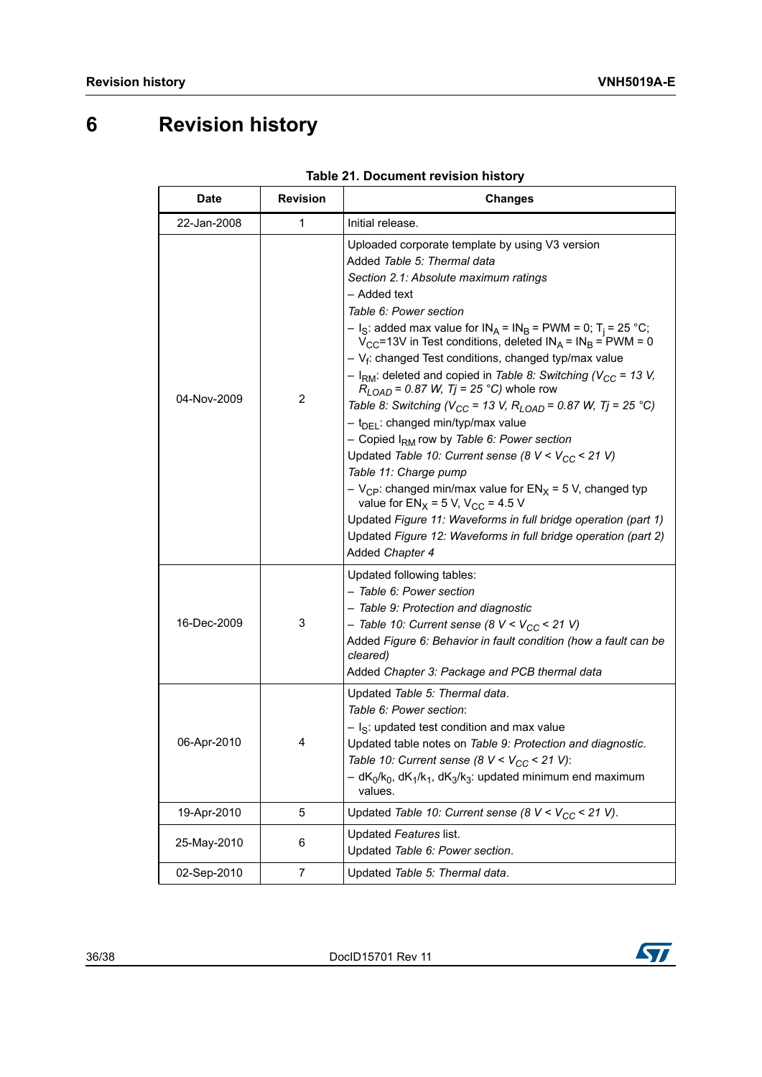# <span id="page-35-0"></span>**6 Revision history**

<span id="page-35-1"></span>

| <b>Date</b> | <b>Revision</b> | <b>Changes</b>                                                                                                                                                                                                                                                                                                                                                                                                                                                                                                                                                                                                                                                                                                                                                                                                                                                                                                                                                                                                                                                                                                               |
|-------------|-----------------|------------------------------------------------------------------------------------------------------------------------------------------------------------------------------------------------------------------------------------------------------------------------------------------------------------------------------------------------------------------------------------------------------------------------------------------------------------------------------------------------------------------------------------------------------------------------------------------------------------------------------------------------------------------------------------------------------------------------------------------------------------------------------------------------------------------------------------------------------------------------------------------------------------------------------------------------------------------------------------------------------------------------------------------------------------------------------------------------------------------------------|
| 22-Jan-2008 | 1               | Initial release.                                                                                                                                                                                                                                                                                                                                                                                                                                                                                                                                                                                                                                                                                                                                                                                                                                                                                                                                                                                                                                                                                                             |
| 04-Nov-2009 | 2               | Uploaded corporate template by using V3 version<br>Added <i>Table 5: Thermal data</i><br>Section 2.1: Absolute maximum ratings<br>– Added text<br>Table 6: Power section<br>- I <sub>S</sub> : added max value for IN <sub>A</sub> = IN <sub>B</sub> = PWM = 0; T <sub>i</sub> = 25 °C;<br>$V_{CC}$ =13V in Test conditions, deleted $IN_A = IN_B = PWM = 0$<br>$-V_f$ : changed Test conditions, changed typ/max value<br>- I <sub>RM</sub> : deleted and copied in Table 8: Switching ( $V_{CC}$ = 13 V,<br>$R_{LOAD}$ = 0.87 W, Tj = 25 °C) whole row<br>Table 8: Switching ( $V_{CC}$ = 13 V, $R_{LOAD}$ = 0.87 W, Tj = 25 °C)<br>- t <sub>DEL</sub> : changed min/typ/max value<br>- Copied I <sub>RM</sub> row by Table 6: Power section<br>Updated Table 10: Current sense (8 $V < V_{CC}$ < 21 V)<br>Table 11: Charge pump<br>$-V_{\rm CP}$ : changed min/max value for EN <sub>X</sub> = 5 V, changed typ<br>value for $EN_X = 5$ V, V <sub>CC</sub> = 4.5 V<br>Updated Figure 11: Waveforms in full bridge operation (part 1)<br>Updated Figure 12: Waveforms in full bridge operation (part 2)<br>Added Chapter 4 |
| 16-Dec-2009 | 3               | Updated following tables:<br>– Table 6: Power section<br>- Table 9: Protection and diagnostic<br>$-$ Table 10: Current sense (8 V < V <sub>CC</sub> < 21 V)<br>Added Figure 6: Behavior in fault condition (how a fault can be<br>cleared)<br>Added Chapter 3: Package and PCB thermal data                                                                                                                                                                                                                                                                                                                                                                                                                                                                                                                                                                                                                                                                                                                                                                                                                                  |
| 06-Apr-2010 | 4               | Updated Table 5: Thermal data.<br>Table 6: Power section:<br>- I <sub>S</sub> : updated test condition and max value<br>Updated table notes on Table 9: Protection and diagnostic.<br>Table 10: Current sense (8 $V < V_{CC}$ < 21 V):<br>$- dK_0/k_0$ , $dK_1/k_1$ , $dK_3/k_3$ : updated minimum end maximum<br>values.                                                                                                                                                                                                                                                                                                                                                                                                                                                                                                                                                                                                                                                                                                                                                                                                    |
| 19-Apr-2010 | 5               | Updated Table 10: Current sense (8 $V < V_{CC}$ < 21 V).                                                                                                                                                                                                                                                                                                                                                                                                                                                                                                                                                                                                                                                                                                                                                                                                                                                                                                                                                                                                                                                                     |
| 25-May-2010 | 6               | Updated Features list.<br>Updated Table 6: Power section.                                                                                                                                                                                                                                                                                                                                                                                                                                                                                                                                                                                                                                                                                                                                                                                                                                                                                                                                                                                                                                                                    |
| 02-Sep-2010 | 7               | Updated Table 5: Thermal data.                                                                                                                                                                                                                                                                                                                                                                                                                                                                                                                                                                                                                                                                                                                                                                                                                                                                                                                                                                                                                                                                                               |

|  | Table 21. Document revision history |  |  |
|--|-------------------------------------|--|--|
|--|-------------------------------------|--|--|



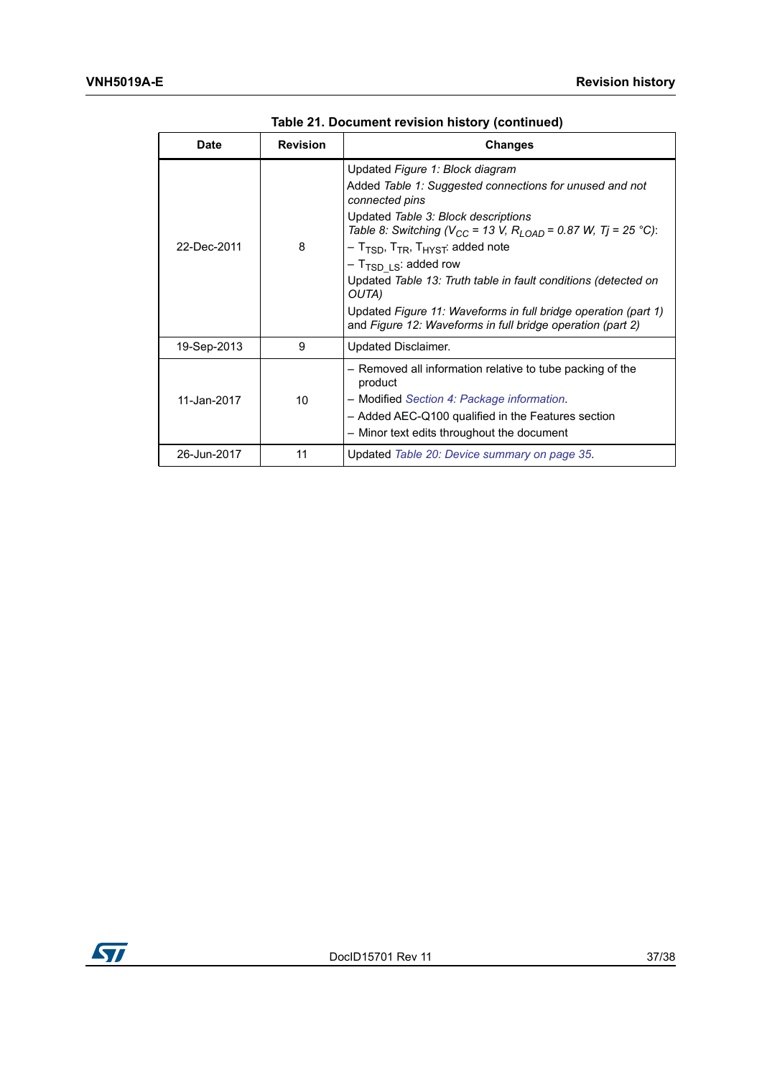| Date        | <b>Revision</b> | <b>Changes</b>                                                                                                                                                                                                                                                                                                                                                                                                                                                                                                                                                           |
|-------------|-----------------|--------------------------------------------------------------------------------------------------------------------------------------------------------------------------------------------------------------------------------------------------------------------------------------------------------------------------------------------------------------------------------------------------------------------------------------------------------------------------------------------------------------------------------------------------------------------------|
| 22-Dec-2011 | 8               | Updated Figure 1: Block diagram<br>Added Table 1: Suggested connections for unused and not<br>connected pins<br>Updated Table 3: Block descriptions<br>Table 8: Switching (V <sub>CC</sub> = 13 V, R <sub>LOAD</sub> = 0.87 W, Tj = 25 °C):<br>$-$ T <sub>TSD</sub> , T <sub>TR</sub> , T <sub>HYST</sub> : added note<br>$-$ T <sub>TSD LS</sub> : added row<br>Updated Table 13: Truth table in fault conditions (detected on<br>OUTA)<br>Updated Figure 11: Waveforms in full bridge operation (part 1)<br>and Figure 12: Waveforms in full bridge operation (part 2) |
| 19-Sep-2013 | 9               | Updated Disclaimer.                                                                                                                                                                                                                                                                                                                                                                                                                                                                                                                                                      |
| 11-Jan-2017 | 10              | - Removed all information relative to tube packing of the<br>product<br>- Modified Section 4: Package information.<br>- Added AEC-Q100 qualified in the Features section<br>- Minor text edits throughout the document                                                                                                                                                                                                                                                                                                                                                   |
| 26-Jun-2017 | 11              | Updated Table 20: Device summary on page 35.                                                                                                                                                                                                                                                                                                                                                                                                                                                                                                                             |

**Table 21. Document revision history (continued)**